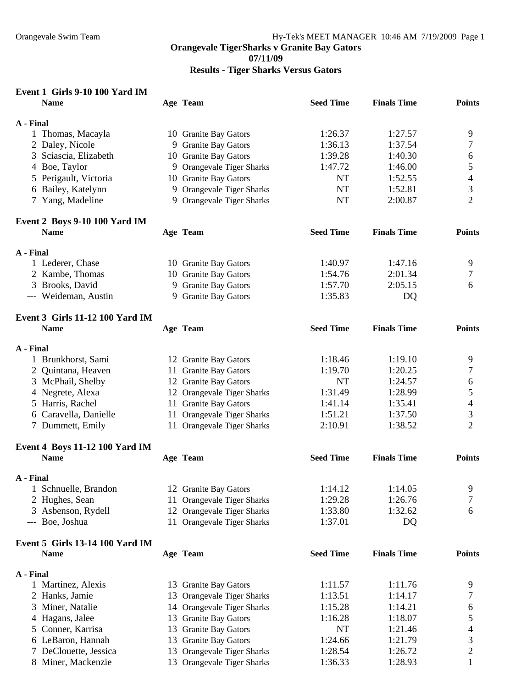**07/11/09** 

**Results - Tiger Sharks Versus Gators** 

| Event 1 Girls 9-10 100 Yard IM                        |    |                                |                  |                    |                         |
|-------------------------------------------------------|----|--------------------------------|------------------|--------------------|-------------------------|
| <b>Name</b>                                           |    | Age Team                       | <b>Seed Time</b> | <b>Finals Time</b> | <b>Points</b>           |
| A - Final                                             |    |                                |                  |                    |                         |
| 1 Thomas, Macayla                                     |    | 10 Granite Bay Gators          | 1:26.37          | 1:27.57            | 9                       |
| 2 Daley, Nicole                                       |    | 9 Granite Bay Gators           | 1:36.13          | 1:37.54            | 7                       |
| 3 Sciascia, Elizabeth                                 |    | 10 Granite Bay Gators          | 1:39.28          | 1:40.30            | 6                       |
| 4 Boe, Taylor                                         |    | 9 Orangevale Tiger Sharks      | 1:47.72          | 1:46.00            | 5                       |
| 5 Perigault, Victoria                                 |    | 10 Granite Bay Gators          | <b>NT</b>        | 1:52.55            | 4                       |
| 6 Bailey, Katelynn                                    |    | 9 Orangevale Tiger Sharks      | <b>NT</b>        | 1:52.81            | 3                       |
| 7 Yang, Madeline                                      |    | 9 Orangevale Tiger Sharks      | <b>NT</b>        | 2:00.87            | $\overline{2}$          |
| Event 2 Boys 9-10 100 Yard IM                         |    |                                |                  |                    |                         |
| <b>Name</b>                                           |    | Age Team                       | <b>Seed Time</b> | <b>Finals Time</b> | <b>Points</b>           |
| A - Final                                             |    |                                |                  |                    |                         |
| 1 Lederer, Chase                                      |    | 10 Granite Bay Gators          | 1:40.97          | 1:47.16            | 9                       |
| 2 Kambe, Thomas                                       |    | 10 Granite Bay Gators          | 1:54.76          | 2:01.34            | 7                       |
| 3 Brooks, David                                       |    | 9 Granite Bay Gators           | 1:57.70          | 2:05.15            | 6                       |
| --- Weideman, Austin                                  |    | 9 Granite Bay Gators           | 1:35.83          | DQ                 |                         |
|                                                       |    |                                |                  |                    |                         |
| <b>Event 3 Girls 11-12 100 Yard IM</b><br><b>Name</b> |    | Age Team                       | <b>Seed Time</b> | <b>Finals Time</b> | <b>Points</b>           |
|                                                       |    |                                |                  |                    |                         |
| A - Final                                             |    |                                |                  |                    |                         |
| 1 Brunkhorst, Sami                                    |    | 12 Granite Bay Gators          | 1:18.46          | 1:19.10            | 9                       |
| 2 Quintana, Heaven                                    |    | 11 Granite Bay Gators          | 1:19.70          | 1:20.25            | 7                       |
| 3 McPhail, Shelby                                     |    | 12 Granite Bay Gators          | <b>NT</b>        | 1:24.57            | 6                       |
| 4 Negrete, Alexa                                      |    | 12 Orangevale Tiger Sharks     | 1:31.49          | 1:28.99            | 5                       |
| 5 Harris, Rachel                                      |    | 11 Granite Bay Gators          | 1:41.14          | 1:35.41            | $\overline{4}$          |
| 6 Caravella, Danielle                                 |    | 11 Orangevale Tiger Sharks     | 1:51.21          | 1:37.50            | 3                       |
| 7 Dummett, Emily                                      |    | 11 Orangevale Tiger Sharks     | 2:10.91          | 1:38.52            | $\overline{2}$          |
| <b>Event 4 Boys 11-12 100 Yard IM</b>                 |    |                                |                  |                    |                         |
| <b>Name</b>                                           |    | Age Team                       | <b>Seed Time</b> | <b>Finals Time</b> | <b>Points</b>           |
| A - Final                                             |    |                                |                  |                    |                         |
| 1 Schnuelle, Brandon                                  |    | 12 Granite Bay Gators          | 1:14.12          | 1:14.05            | 9                       |
| 2 Hughes, Sean                                        |    | 11 Orangevale Tiger Sharks     | 1:29.28          | 1:26.76            | 7                       |
| 3 Asbenson, Rydell                                    |    | 12 Orangevale Tiger Sharks     | 1:33.80          | 1:32.62            | 6                       |
| --- Boe, Joshua                                       |    | 11 Orangevale Tiger Sharks     | 1:37.01          | DQ                 |                         |
|                                                       |    |                                |                  |                    |                         |
| <b>Event 5 Girls 13-14 100 Yard IM</b>                |    |                                |                  |                    |                         |
| <b>Name</b>                                           |    | Age Team                       | <b>Seed Time</b> | <b>Finals Time</b> | <b>Points</b>           |
| A - Final                                             |    |                                |                  |                    |                         |
| 1 Martinez, Alexis                                    |    | 13 Granite Bay Gators          | 1:11.57          | 1:11.76            | 9                       |
| 2 Hanks, Jamie                                        |    | 13 Orangevale Tiger Sharks     | 1:13.51          | 1:14.17            | 7                       |
| Miner, Natalie<br>3                                   |    | 14 Orangevale Tiger Sharks     | 1:15.28          | 1:14.21            | 6                       |
| 4 Hagans, Jalee                                       |    | 13 Granite Bay Gators          | 1:16.28          | 1:18.07            | 5                       |
| 5 Conner, Karrisa                                     |    | 13 Granite Bay Gators          | <b>NT</b>        | 1:21.46            | 4                       |
| 6 LeBaron, Hannah                                     |    | 13 Granite Bay Gators          | 1:24.66          | 1:21.79            | 3                       |
| DeClouette, Jessica<br>7                              | 13 | <b>Orangevale Tiger Sharks</b> | 1:28.54          | 1:26.72            | $\overline{\mathbf{c}}$ |
| 8 Miner, Mackenzie                                    |    | 13 Orangevale Tiger Sharks     | 1:36.33          | 1:28.93            | $\mathbf{1}$            |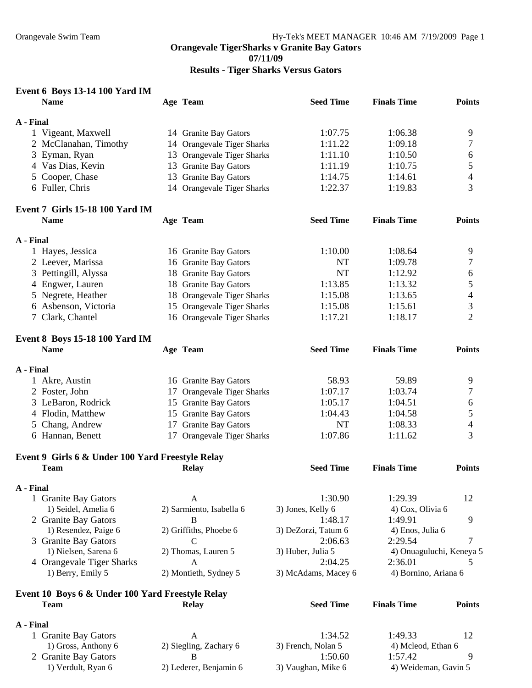**Results - Tiger Sharks Versus Gators** 

| Event 6 Boys 13-14 100 Yard IM                   |                             |                               |                               |                |
|--------------------------------------------------|-----------------------------|-------------------------------|-------------------------------|----------------|
| <b>Name</b>                                      | Age Team                    | <b>Seed Time</b>              | <b>Finals Time</b>            | <b>Points</b>  |
|                                                  |                             |                               |                               |                |
| A - Final                                        |                             |                               |                               |                |
| 1 Vigeant, Maxwell                               | 14 Granite Bay Gators       | 1:07.75                       | 1:06.38                       | 9              |
| 2 McClanahan, Timothy                            | 14 Orangevale Tiger Sharks  | 1:11.22                       | 1:09.18                       | $\overline{7}$ |
| 3 Eyman, Ryan                                    | 13 Orangevale Tiger Sharks  | 1:11.10                       | 1:10.50                       | 6              |
| 4 Vas Dias, Kevin                                | 13 Granite Bay Gators       | 1:11.19                       | 1:10.75                       | 5              |
| 5 Cooper, Chase                                  | 13 Granite Bay Gators       | 1:14.75                       | 1:14.61                       | 4              |
| 6 Fuller, Chris                                  | 14 Orangevale Tiger Sharks  | 1:22.37                       | 1:19.83                       | 3              |
| <b>Event 7 Girls 15-18 100 Yard IM</b>           |                             |                               |                               |                |
| <b>Name</b>                                      | Age Team                    | <b>Seed Time</b>              | <b>Finals Time</b>            | <b>Points</b>  |
|                                                  |                             |                               |                               |                |
| A - Final                                        |                             |                               |                               |                |
| 1 Hayes, Jessica                                 | 16 Granite Bay Gators       | 1:10.00                       | 1:08.64                       | 9              |
| 2 Leever, Marissa                                | 16 Granite Bay Gators       | <b>NT</b>                     | 1:09.78                       | 7              |
| 3 Pettingill, Alyssa                             | 18 Granite Bay Gators       | <b>NT</b>                     | 1:12.92                       | 6              |
| 4 Engwer, Lauren                                 | 18 Granite Bay Gators       | 1:13.85                       | 1:13.32                       | 5              |
| 5 Negrete, Heather                               | 18 Orangevale Tiger Sharks  | 1:15.08                       | 1:13.65                       | 4              |
| 6 Asbenson, Victoria                             | 15 Orangevale Tiger Sharks  | 1:15.08                       | 1:15.61                       | 3              |
| 7 Clark, Chantel                                 | 16 Orangevale Tiger Sharks  | 1:17.21                       | 1:18.17                       | $\overline{2}$ |
|                                                  |                             |                               |                               |                |
| <b>Event 8 Boys 15-18 100 Yard IM</b>            |                             |                               |                               |                |
| <b>Name</b>                                      | Age Team                    | <b>Seed Time</b>              | <b>Finals Time</b>            | <b>Points</b>  |
|                                                  |                             |                               |                               |                |
| A - Final                                        |                             |                               |                               |                |
| 1 Akre, Austin                                   | 16 Granite Bay Gators       | 58.93                         | 59.89                         | 9              |
| 2 Foster, John                                   | 17 Orangevale Tiger Sharks  | 1:07.17                       | 1:03.74                       | 7              |
| 3 LeBaron, Rodrick                               | 15 Granite Bay Gators       | 1:05.17                       | 1:04.51                       | 6              |
| 4 Flodin, Matthew                                | 15 Granite Bay Gators       | 1:04.43                       | 1:04.58                       | 5              |
| 5 Chang, Andrew                                  | 17 Granite Bay Gators       | NT                            | 1:08.33                       | 4              |
| 6 Hannan, Benett                                 | 17 Orangevale Tiger Sharks  | 1:07.86                       | 1:11.62                       | 3              |
| Event 9 Girls 6 & Under 100 Yard Freestyle Relay |                             |                               |                               |                |
| <b>Team</b>                                      | <b>Relay</b>                | <b>Seed Time</b>              | <b>Finals Time</b>            | <b>Points</b>  |
|                                                  |                             |                               |                               |                |
| A - Final                                        |                             |                               |                               |                |
| 1 Granite Bay Gators                             | A                           | 1:30.90                       | 1:29.39                       | 12             |
| 1) Seidel, Amelia 6                              | 2) Sarmiento, Isabella 6    | 3) Jones, Kelly 6             | 4) Cox, Olivia 6              |                |
| 2 Granite Bay Gators                             | B                           | 1:48.17                       | 1:49.91                       | 9              |
| 1) Resendez, Paige 6                             | 2) Griffiths, Phoebe 6      | 3) DeZorzi, Tatum 6           | 4) Enos, Julia 6              |                |
| 3 Granite Bay Gators                             | $\mathcal{C}$               | 2:06.63                       | 2:29.54                       | $\overline{7}$ |
| 1) Nielsen, Sarena 6                             | 2) Thomas, Lauren 5         | 3) Huber, Julia 5             | 4) Onuaguluchi, Keneya 5      |                |
| 4 Orangevale Tiger Sharks                        | A                           | 2:04.25                       | 2:36.01                       | 5              |
| 1) Berry, Emily 5                                | 2) Montieth, Sydney 5       | 3) McAdams, Macey 6           | 4) Bornino, Ariana 6          |                |
|                                                  |                             |                               |                               |                |
| Event 10 Boys 6 & Under 100 Yard Freestyle Relay |                             |                               |                               |                |
| <b>Team</b>                                      | <b>Relay</b>                | <b>Seed Time</b>              | <b>Finals Time</b>            | <b>Points</b>  |
|                                                  |                             |                               |                               |                |
| A - Final                                        |                             |                               |                               |                |
| 1 Granite Bay Gators                             | A                           | 1:34.52                       | 1:49.33                       | 12             |
| 1) Gross, Anthony 6                              | 2) Siegling, Zachary 6<br>B | 3) French, Nolan 5<br>1:50.60 | 4) Mcleod, Ethan 6<br>1:57.42 |                |
| 2 Granite Bay Gators<br>1) Verdult, Ryan 6       | 2) Lederer, Benjamin 6      | 3) Vaughan, Mike 6            | 4) Weideman, Gavin 5          | 9              |
|                                                  |                             |                               |                               |                |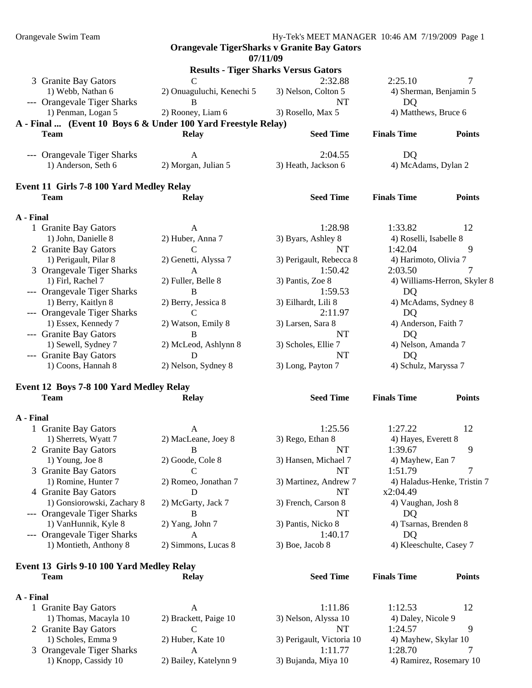Orangevale Swim Team Hy-Tek's MEET MANAGER 10:46 AM 7/19/2009 Page 1 **Orangevale TigerSharks v Granite Bay Gators 07/11/09 Results - Tiger Sharks Versus Gators**  3 Granite Bay Gators C 2:32.88 2:25.10 7 1) Webb, Nathan 6 2) Onuaguluchi, Kenechi 5 3) Nelson, Colton 5 4) Sherman, Benjamin 5 --- Orangevale Tiger Sharks B NT DO 1) Penman, Logan 5 2) Rooney, Liam 6 3) Rosello, Max 5 4) Matthews, Bruce 6 **A - Final ... (Event 10 Boys 6 & Under 100 Yard Freestyle Relay) Team Relay Seed Time Finals Time Points**  --- Orangevale Tiger Sharks A 2:04.55 DQ 1) Anderson, Seth 6 2) Morgan, Julian 5 3) Heath, Jackson 6 4) McAdams, Dylan 2 **Team Relay Seed Time Finals Time Points** 

# **Event 11 Girls 7-8 100 Yard Medley Relay**

**A - Final**  1 Granite Bay Gators **A** 1:28.98 1:33.82 12 1) John, Danielle 8 2) Huber, Anna 7 3) Byars, Ashley 8 4) Roselli, Isabelle 8 2 Granite Bay Gators C C NT 1:42.04 9 1) Perigault, Pilar 8 2) Genetti, Alyssa 7 3) Perigault, Rebecca 8 4) Harimoto, Olivia 7 3 Orangevale Tiger Sharks A 1:50.42 2:03.50 1) Firl, Rachel 7 2) Fuller, Belle 8 3) Pantis, Zoe 8 4) Williams-Herron, Skyler 8 --- Orangevale Tiger Sharks B 1:59.53 DQ 1) Berry, Kaitlyn 8 2) Berry, Jessica 8 3) Eilhardt, Lili 8 4) McAdams, Sydney 8 --- Orangevale Tiger Sharks C 2:11.97 DQ 1) Essex, Kennedy 7 2) Watson, Emily 8 3) Larsen, Sara 8 4) Anderson, Faith 7 --- Granite Bay Gators B NT DQ 1) Sewell, Sydney 7 2) McLeod, Ashlynn 8 3) Scholes, Ellie 7 4) Nelson, Amanda 7 --- Granite Bay Gators D D NT DO 1) Coons, Hannah 8 2) Nelson, Sydney 8 3) Long, Payton 7 4) Schulz, Maryssa 7

#### **Event 12 Boys 7-8 100 Yard Medley Relay Team Relay Seed Time Finals Time Points**

**A - Final** 

| 1 Granite Bay Gators        | A                    | 1:25.56               | 1:27.22                 | 12 <sub>1</sub> |
|-----------------------------|----------------------|-----------------------|-------------------------|-----------------|
| 1) Sherrets, Wyatt 7        | 2) MacLeane, Joey 8  | 3) Rego, Ethan 8      | 4) Hayes, Everett 8     |                 |
| 2 Granite Bay Gators        | B                    | NT                    | 1:39.67                 | 9               |
| $1)$ Young, Joe $8$         | 2) Goode, Cole 8     | 3) Hansen, Michael 7  | 4) Mayhew, Ean 7        |                 |
| 3 Granite Bay Gators        |                      | NT                    | 1:51.79                 |                 |
| 1) Romine, Hunter 7         | 2) Romeo, Jonathan 7 | 3) Martinez, Andrew 7 | 4) Haladus-Henke, Trist |                 |
| 4 Granite Bay Gators        |                      | NT                    | x2:04.49                |                 |
| 1) Gonsiorowski, Zachary 8  | 2) McGarty, Jack 7   | 3) French, Carson 8   | 4) Vaughan, Josh 8      |                 |
| --- Orangevale Tiger Sharks |                      | NT                    | DO.                     |                 |
| 1) VanHunnik, Kyle 8        | $2)$ Yang, John $7$  | 3) Pantis, Nicko 8    | 4) Tsarnas, Brenden 8   |                 |
| --- Orangevale Tiger Sharks | A                    | 1:40.17               | DQ                      |                 |
| 1) Montieth, Anthony 8      | 2) Simmons, Lucas 8  | $3)$ Boe, Jacob $8$   | 4) Kleeschulte, Casey 7 |                 |
|                             |                      |                       |                         |                 |

#### **Event 13 Girls 9-10 100 Yard Medley Relay Team Relay Seed Time Finals Time Points**

#### **A - Final**

| 1 Granite Bay Gators      |                       | 1:11.86                   | 1:12.53                 |   |
|---------------------------|-----------------------|---------------------------|-------------------------|---|
| 1) Thomas, Macayla 10     | 2) Brackett, Paige 10 | 3) Nelson, Alyssa 10      | 4) Daley, Nicole 9      |   |
| 2 Granite Bay Gators      |                       |                           | 1:24.57                 | q |
| 1) Scholes, Emma 9        | 2) Huber, Kate 10     | 3) Perigault, Victoria 10 | 4) Mayhew, Skylar 10    |   |
| 3 Orangevale Tiger Sharks |                       | 1.1177                    | 1:28.70                 |   |
| 1) Knopp, Cassidy 10      | 2) Bailey, Katelynn 9 | 3) Bujanda, Miya 10       | 4) Ramirez, Rosemary 10 |   |

Henke, Tristin 7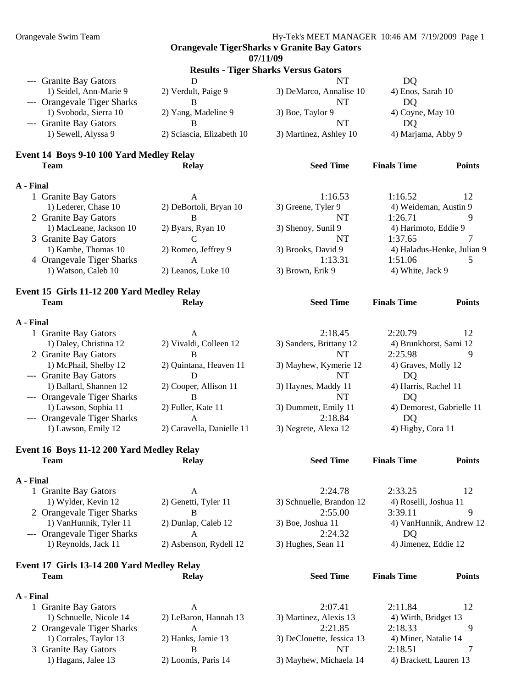#### **07/11/09**

| <b>Results - Tiger Sharks Versus Gators</b> |                           |                         |                    |  |  |
|---------------------------------------------|---------------------------|-------------------------|--------------------|--|--|
| --- Granite Bay Gators                      |                           | NT                      | DO                 |  |  |
| 1) Seidel, Ann-Marie 9                      | 2) Verdult, Paige 9       | 3) DeMarco, Annalise 10 | 4) Enos, Sarah 10  |  |  |
| --- Orangevale Tiger Sharks                 |                           | NT                      | DO                 |  |  |
| 1) Svoboda, Sierra 10                       | 2) Yang, Madeline 9       | 3) Boe, Taylor 9        | $4)$ Coyne, May 10 |  |  |
| --- Granite Bay Gators                      |                           | NT                      | DO                 |  |  |
| 1) Sewell, Alyssa 9                         | 2) Sciascia, Elizabeth 10 | 3) Martinez, Ashley 10  | 4) Marjama, Abby 9 |  |  |

#### **Event 14 Boys 9-10 100 Yard Medley Relay Team Relay Seed Time Finals Time Points**

#### **A - Final**

| 1 Granite Bay Gators      | А                      | 1:16.53            | 12<br>1:16.52              |  |
|---------------------------|------------------------|--------------------|----------------------------|--|
| 1) Lederer, Chase 10      | 2) DeBortoli, Bryan 10 | 3) Greene, Tyler 9 | 4) Weideman, Austin 9      |  |
| 2 Granite Bay Gators      |                        | NT                 | 1:26.71                    |  |
| 1) MacLeane, Jackson 10   | 2) Byars, Ryan 10      | 3) Shenoy, Sunil 9 | 4) Harimoto, Eddie 9       |  |
| 3 Granite Bay Gators      |                        | NT                 | 1:37.65                    |  |
| 1) Kambe, Thomas 10       | 2) Romeo, Jeffrey 9    | 3) Brooks, David 9 | 4) Haladus-Henke, Julian 9 |  |
| 4 Orangevale Tiger Sharks |                        | 1:13.31            | 1:51.06                    |  |
| 1) Watson, Caleb 10       | 2) Leanos, Luke 10     | 3) Brown, Erik 9   | 4) White, Jack 9           |  |
|                           |                        |                    |                            |  |

## **Event 15 Girls 11-12 200 Yard Medley Relay Team Relay Seed Time Finals Time Points**

#### **A - Final**

| 1 Granite Bay Gators        | A                         | 2:18.45                 | 2:20.79<br>12             |
|-----------------------------|---------------------------|-------------------------|---------------------------|
| 1) Daley, Christina 12      | 2) Vivaldi, Colleen 12    | 3) Sanders, Brittany 12 | 4) Brunkhorst, Sami 12    |
| 2 Granite Bay Gators        |                           | NT                      | 2:25.98                   |
| 1) McPhail, Shelby 12       | 2) Quintana, Heaven 11    | 3) Mayhew, Kymerie 12   | 4) Graves, Molly 12       |
| --- Granite Bay Gators      |                           | NT                      | DO                        |
| 1) Ballard, Shannen 12      | 2) Cooper, Allison 11     | 3) Haynes, Maddy 11     | 4) Harris, Rachel 11      |
| --- Orangevale Tiger Sharks |                           | NT                      | DO                        |
| 1) Lawson, Sophia 11        | 2) Fuller, Kate 11        | 3) Dummett, Emily 11    | 4) Demorest, Gabrielle 11 |
| --- Orangevale Tiger Sharks | Α                         | 2:18.84                 | DO                        |
| 1) Lawson, Emily 12         | 2) Caravella, Danielle 11 | 3) Negrete, Alexa 12    | 4) Higby, Cora 11         |

#### **Event 16 Boys 11-12 200 Yard Medley Relay Team Relay Seed Time Finals Time Points**

#### **A - Final**

| 4) VanHunnik, Andrew 12 |
|-------------------------|
|                         |
|                         |
|                         |

#### **Event 17 Girls 13-14 200 Yard Medley Relay Team Relay Seed Time Finals Time Points**

#### **A - Final**

| 1 Granite Bay Gators      |                       | 2:07.41                   | 2:11.84                | 12 |
|---------------------------|-----------------------|---------------------------|------------------------|----|
| 1) Schnuelle, Nicole 14   | 2) LeBaron, Hannah 13 | 3) Martinez, Alexis 13    | 4) Wirth, Bridget 13   |    |
| 2 Orangevale Tiger Sharks |                       | 2:21.85                   | 2:18.33                |    |
| 1) Corrales, Taylor 13    | 2) Hanks, Jamie 13    | 3) DeClouette, Jessica 13 | 4) Miner, Natalie 14   |    |
| 3 Granite Bay Gators      |                       | NT                        | 2:18.51                |    |
| 1) Hagans, Jalee 13       | 2) Loomis, Paris 14   | 3) Mayhew, Michaela 14    | 4) Brackett, Lauren 13 |    |

| 2:24.78              |
|----------------------|
| chnuelle, Brandon 12 |
| 2:55.00              |
| oe, Joshua 11        |
| 2:24.32              |
| Iughes. Sean 11      |

| ı      | 2:11.84<br>12          |  |
|--------|------------------------|--|
| 13     | 4) Wirth, Bridget 13   |  |
| 5      | 2:18.33                |  |
| ica 13 | 4) Miner, Natalie 14   |  |
| г      | 2:18.51                |  |
| ela 14 | 4) Brackett, Lauren 13 |  |
|        |                        |  |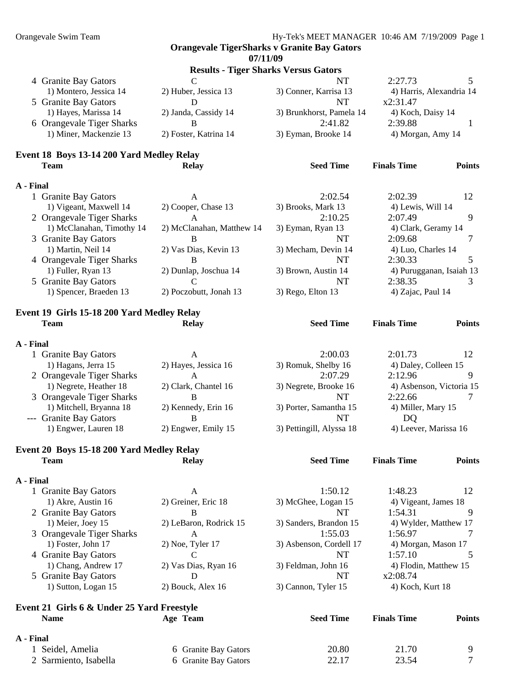**07/11/09** 

|                           |                       | <b>Results - Tiger Sharks Versus Gators</b> |                          |  |
|---------------------------|-----------------------|---------------------------------------------|--------------------------|--|
| 4 Granite Bay Gators      |                       | NT                                          | 2:27.73                  |  |
| 1) Montero, Jessica 14    | 2) Huber, Jessica 13  | 3) Conner, Karrisa 13                       | 4) Harris, Alexandria 14 |  |
| 5 Granite Bay Gators      | Ð                     | NT                                          | x2:31.47                 |  |
| 1) Hayes, Marissa 14      | 2) Janda, Cassidy 14  | 3) Brunkhorst, Pamela 14                    | 4) Koch, Daisy 14        |  |
| 6 Orangevale Tiger Sharks | В                     | 2:41.82                                     | 2:39.88                  |  |
| 1) Miner, Mackenzie 13    | 2) Foster, Katrina 14 | 3) Eyman, Brooke 14                         | 4) Morgan, Amy 14        |  |
|                           |                       |                                             |                          |  |

#### **Event 18 Boys 13-14 200 Yard Medley Relay Team Relay Seed Time Finals Time Points**

#### **A - Final**

|  | 1 Granite Bay Gators      | А                         | 2:02.54             | 2:02.39                  |  |
|--|---------------------------|---------------------------|---------------------|--------------------------|--|
|  | 1) Vigeant, Maxwell 14    | 2) Cooper, Chase 13       | 3) Brooks, Mark 13  | 4) Lewis, Will 14        |  |
|  | 2 Orangevale Tiger Sharks | А                         | 2:10.25             | 2:07.49                  |  |
|  | 1) McClanahan, Timothy 14 | 2) McClanahan, Matthew 14 | 3) Eyman, Ryan 13   | 4) Clark, Geramy 14      |  |
|  | 3 Granite Bay Gators      |                           | NT                  | 2:09.68                  |  |
|  | 1) Martin, Neil 14        | 2) Vas Dias, Kevin 13     | 3) Mecham, Devin 14 | 4) Luo, Charles 14       |  |
|  | 4 Orangevale Tiger Sharks | В                         | NT                  | 2:30.33                  |  |
|  | 1) Fuller, Ryan 13        | 2) Dunlap, Joschua 14     | 3) Brown, Austin 14 | 4) Purugganan, Isaiah 13 |  |
|  | 5 Granite Bay Gators      |                           | NT                  | 2:38.35                  |  |
|  | 1) Spencer, Braeden 13    | 2) Poczobutt, Jonah 13    | $3)$ Rego, Elton 13 | 4) Zajac, Paul 14        |  |

## **Event 19 Girls 15-18 200 Yard Medley Relay**

| <b>Team</b> |                           | <b>Relay</b>         | <b>Seed Time</b>         | <b>Finals Time</b>       | <b>Points</b> |
|-------------|---------------------------|----------------------|--------------------------|--------------------------|---------------|
| A - Final   |                           |                      |                          |                          |               |
|             | 1 Granite Bay Gators      | A                    | 2:00.03                  | 2:01.73                  | 12            |
|             | 1) Hagans, Jerra 15       | 2) Hayes, Jessica 16 | 3) Romuk, Shelby 16      | 4) Daley, Colleen 15     |               |
|             | 2 Orangevale Tiger Sharks | A                    | 2:07.29                  | 2:12.96                  | Q             |
|             | 1) Negrete, Heather 18    | 2) Clark, Chantel 16 | 3) Negrete, Brooke 16    | 4) Asbenson, Victoria 15 |               |
|             | 3 Orangevale Tiger Sharks | B                    | NT                       | 2:22.66                  |               |
|             | 1) Mitchell, Bryanna 18   | 2) Kennedy, Erin 16  | 3) Porter, Samantha 15   | 4) Miller, Mary 15       |               |
|             | --- Granite Bay Gators    | B                    | NT                       | DO                       |               |
|             | 1) Engwer, Lauren 18      | 2) Engwer, Emily 15  | 3) Pettingill, Alyssa 18 | 4) Leever, Marissa 16    |               |

#### **Event 20 Boys 15-18 200 Yard Medley Relay Team Relay Seed Time Finals Time Points**

#### **A - Final**

| 1 Granite Bay Gators      | А                      | 1:50.12                 | 1:48.23               |
|---------------------------|------------------------|-------------------------|-----------------------|
| 1) Akre, Austin 16        | 2) Greiner, Eric 18    | 3) McGhee, Logan 15     | 4) Vigeant, James 18  |
| 2 Granite Bay Gators      | B                      | NT                      | 1:54.31               |
| 1) Meier, Joey 15         | 2) LeBaron, Rodrick 15 | 3) Sanders, Brandon 15  | 4) Wylder, Matthew 17 |
| 3 Orangevale Tiger Sharks | A                      | 1:55.03                 | 1:56.97               |
| 1) Foster, John 17        | $2)$ Noe, Tyler 17     | 3) Asbenson, Cordell 17 | 4) Morgan, Mason 17   |
| 4 Granite Bay Gators      |                        | NT                      | 1:57.10               |
| 1) Chang, Andrew 17       | 2) Vas Dias, Ryan 16   | 3) Feldman, John 16     | 4) Flodin, Matthew 15 |
| 5 Granite Bay Gators      | D                      | NT                      | x2:08.74              |
| 1) Sutton, Logan 15       | $2)$ Bouck, Alex 16    | 3) Cannon, Tyler 15     | 4) Koch, Kurt 18      |
|                           |                        |                         |                       |

#### **Event 21 Girls 6 & Under 25 Yard Freestyle Name Age Team Seed Time Finals Time Points**

| A - Final             |                      |       |       |                |
|-----------------------|----------------------|-------|-------|----------------|
| 1 Seidel, Amelia      | 6 Granite Bay Gators | 20.80 | 21.70 |                |
| 2 Sarmiento, Isabella | 6 Granite Bay Gators | 22.17 | 23.54 | $\overline{ }$ |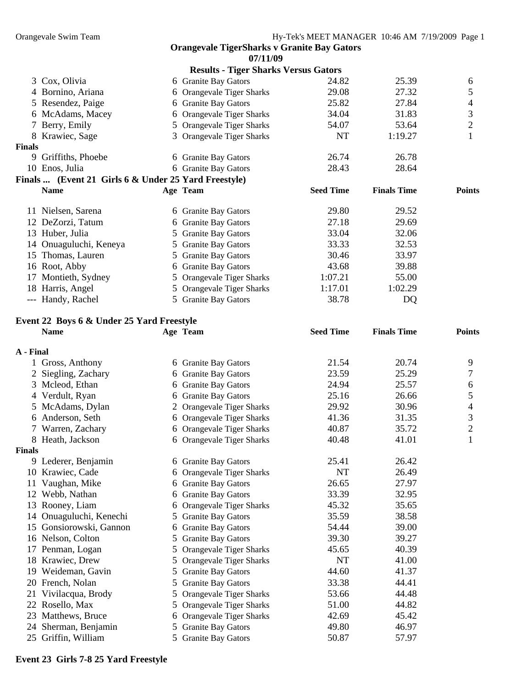|        |                                                      | 07/11/09                                    |                  |                    |                |
|--------|------------------------------------------------------|---------------------------------------------|------------------|--------------------|----------------|
|        |                                                      | <b>Results - Tiger Sharks Versus Gators</b> |                  |                    |                |
|        | 3 Cox, Olivia                                        | 6 Granite Bay Gators                        | 24.82            | 25.39              | 6              |
|        | 4 Bornino, Ariana                                    | 6 Orangevale Tiger Sharks                   | 29.08            | 27.32              | 5              |
| 5.     | Resendez, Paige                                      | 6 Granite Bay Gators                        | 25.82            | 27.84              | 4              |
|        | 6 McAdams, Macey                                     | 6 Orangevale Tiger Sharks                   | 34.04            | 31.83              | 3              |
|        | 7 Berry, Emily                                       | 5 Orangevale Tiger Sharks                   | 54.07            | 53.64              | $\overline{2}$ |
|        | 8 Krawiec, Sage                                      | 3 Orangevale Tiger Sharks                   | NT               | 1:19.27            |                |
| Finals |                                                      |                                             |                  |                    |                |
| 9      | Griffiths, Phoebe                                    | 6 Granite Bay Gators                        | 26.74            | 26.78              |                |
|        | 10 Enos, Julia                                       | 6 Granite Bay Gators                        | 28.43            | 28.64              |                |
|        | Finals  (Event 21 Girls 6 & Under 25 Yard Freestyle) |                                             |                  |                    |                |
|        | <b>Name</b>                                          | Age Team                                    | <b>Seed Time</b> | <b>Finals Time</b> | <b>Points</b>  |
|        | 11 Nielsen, Sarena                                   | 6 Granite Bay Gators                        | 29.80            | 29.52              |                |
|        | 12 DeZorzi, Tatum                                    | 6 Granite Bay Gators                        | 27.18            | 29.69              |                |
|        | 13 Huber, Julia                                      | 5 Granite Bay Gators                        | 33.04            | 32.06              |                |
| 14     | Onuaguluchi, Keneya                                  | 5 Granite Bay Gators                        | 33.33            | 32.53              |                |
| 15     | Thomas, Lauren                                       | 5 Granite Bay Gators                        | 30.46            | 33.97              |                |
| 16     | Root, Abby                                           | 6 Granite Bay Gators                        | 43.68            | 39.88              |                |
| 17     | Montieth, Sydney                                     | 5 Orangevale Tiger Sharks                   | 1:07.21          | 55.00              |                |
|        | 18 Harris, Angel                                     | 5 Orangevale Tiger Sharks                   | 1:17.01          | 1:02.29            |                |
|        | --- Handy, Rachel                                    | 5 Granite Bay Gators                        | 38.78            | DQ                 |                |
|        |                                                      |                                             |                  |                    |                |

## **Event 22 Boys 6 & Under 25 Yard Freestyle**

|           | <b>Name</b>          |    | Age Team                       | <b>Seed Time</b> | <b>Finals Time</b> | <b>Points</b>  |
|-----------|----------------------|----|--------------------------------|------------------|--------------------|----------------|
| A - Final |                      |    |                                |                  |                    |                |
|           | 1 Gross, Anthony     |    | 6 Granite Bay Gators           | 21.54            | 20.74              | 9              |
|           | Siegling, Zachary    |    | 6 Granite Bay Gators           | 23.59            | 25.29              | 7              |
| 3         | Mcleod, Ethan        |    | 6 Granite Bay Gators           | 24.94            | 25.57              | 6              |
|           | 4 Verdult, Ryan      |    | 6 Granite Bay Gators           | 25.16            | 26.66              | 5              |
|           | McAdams, Dylan       |    | 2 Orangevale Tiger Sharks      | 29.92            | 30.96              | $\overline{4}$ |
| 6         | Anderson, Seth       |    | 6 Orangevale Tiger Sharks      | 41.36            | 31.35              | 3              |
|           | 7 Warren, Zachary    |    | 6 Orangevale Tiger Sharks      | 40.87            | 35.72              | $\mathbf{2}$   |
|           | 8 Heath, Jackson     |    | 6 Orangevale Tiger Sharks      | 40.48            | 41.01              | 1              |
| Finals    |                      |    |                                |                  |                    |                |
|           | 9 Lederer, Benjamin  |    | 6 Granite Bay Gators           | 25.41            | 26.42              |                |
|           | 10 Krawiec, Cade     |    | 6 Orangevale Tiger Sharks      | <b>NT</b>        | 26.49              |                |
| 11        | Vaughan, Mike        |    | 6 Granite Bay Gators           | 26.65            | 27.97              |                |
| 12        | Webb, Nathan         |    | 6 Granite Bay Gators           | 33.39            | 32.95              |                |
| 13        | Rooney, Liam         |    | 6 Orangevale Tiger Sharks      | 45.32            | 35.65              |                |
| 14        | Onuaguluchi, Kenechi |    | 5 Granite Bay Gators           | 35.59            | 38.58              |                |
| 15        | Gonsiorowski, Gannon |    | 6 Granite Bay Gators           | 54.44            | 39.00              |                |
|           | 16 Nelson, Colton    |    | 5 Granite Bay Gators           | 39.30            | 39.27              |                |
| 17        | Penman, Logan        | 5  | <b>Orangevale Tiger Sharks</b> | 45.65            | 40.39              |                |
|           | 18 Krawiec, Drew     | 5. | Orangevale Tiger Sharks        | <b>NT</b>        | 41.00              |                |
| 19        | Weideman, Gavin      |    | 5 Granite Bay Gators           | 44.60            | 41.37              |                |
| 20        | French, Nolan        | 5. | <b>Granite Bay Gators</b>      | 33.38            | 44.41              |                |
| 21        | Vivilacqua, Brody    | 5  | <b>Orangevale Tiger Sharks</b> | 53.66            | 44.48              |                |
|           | 22 Rosello, Max      |    | 5 Orangevale Tiger Sharks      | 51.00            | 44.82              |                |
| 23        | Matthews, Bruce      |    | 6 Orangevale Tiger Sharks      | 42.69            | 45.42              |                |
| 24        | Sherman, Benjamin    |    | 5 Granite Bay Gators           | 49.80            | 46.97              |                |
| 25        | Griffin, William     | 5  | <b>Granite Bay Gators</b>      | 50.87            | 57.97              |                |

**Event 23 Girls 7-8 25 Yard Freestyle**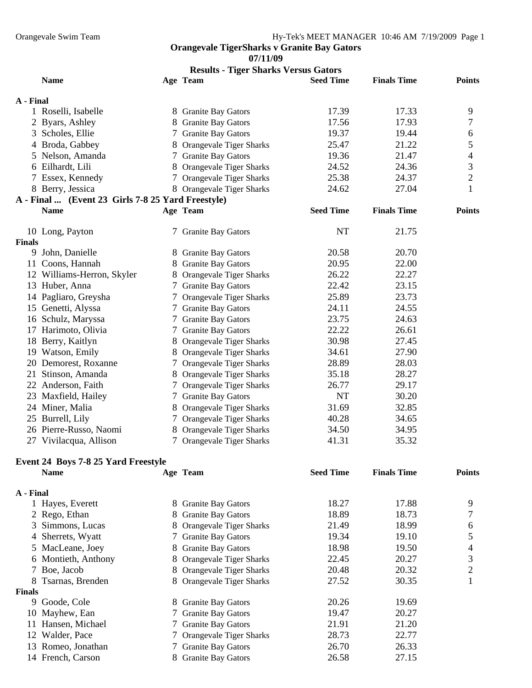**07/11/09** 

|               | <b>Results - Tiger Sharks Versus Gators</b>       |   |                                |                  |                    |                |  |
|---------------|---------------------------------------------------|---|--------------------------------|------------------|--------------------|----------------|--|
|               | <b>Name</b>                                       |   | Age Team                       | <b>Seed Time</b> | <b>Finals Time</b> | <b>Points</b>  |  |
| A - Final     |                                                   |   |                                |                  |                    |                |  |
|               | 1 Roselli, Isabelle                               |   | 8 Granite Bay Gators           | 17.39            | 17.33              | 9              |  |
|               | 2 Byars, Ashley                                   |   | 8 Granite Bay Gators           | 17.56            | 17.93              | 7              |  |
|               | 3 Scholes, Ellie                                  |   | 7 Granite Bay Gators           | 19.37            | 19.44              | 6              |  |
|               | 4 Broda, Gabbey                                   |   | 8 Orangevale Tiger Sharks      | 25.47            | 21.22              | 5              |  |
|               | 5 Nelson, Amanda                                  |   | 7 Granite Bay Gators           | 19.36            | 21.47              | $\overline{4}$ |  |
|               | 6 Eilhardt, Lili                                  |   | 8 Orangevale Tiger Sharks      | 24.52            | 24.36              | 3              |  |
|               | 7 Essex, Kennedy                                  |   | 7 Orangevale Tiger Sharks      | 25.38            | 24.37              | $\overline{c}$ |  |
|               | 8 Berry, Jessica                                  |   | 8 Orangevale Tiger Sharks      | 24.62            | 27.04              | 1              |  |
|               | A - Final  (Event 23 Girls 7-8 25 Yard Freestyle) |   |                                |                  |                    |                |  |
|               | <b>Name</b>                                       |   | Age Team                       | <b>Seed Time</b> | <b>Finals Time</b> | <b>Points</b>  |  |
|               | 10 Long, Payton                                   |   | 7 Granite Bay Gators           | <b>NT</b>        | 21.75              |                |  |
| <b>Finals</b> |                                                   |   |                                |                  |                    |                |  |
|               | 9 John, Danielle                                  |   | 8 Granite Bay Gators           | 20.58            | 20.70              |                |  |
|               | 11 Coons, Hannah                                  |   | 8 Granite Bay Gators           | 20.95            | 22.00              |                |  |
|               | 12 Williams-Herron, Skyler                        |   | 8 Orangevale Tiger Sharks      | 26.22            | 22.27              |                |  |
|               | 13 Huber, Anna                                    |   | 7 Granite Bay Gators           | 22.42            | 23.15              |                |  |
|               | 14 Pagliaro, Greysha                              |   | 7 Orangevale Tiger Sharks      | 25.89            | 23.73              |                |  |
|               | 15 Genetti, Alyssa                                |   | 7 Granite Bay Gators           | 24.11            | 24.55              |                |  |
|               | 16 Schulz, Maryssa                                |   | 7 Granite Bay Gators           | 23.75            | 24.63              |                |  |
|               | 17 Harimoto, Olivia                               |   | 7 Granite Bay Gators           | 22.22            | 26.61              |                |  |
|               | 18 Berry, Kaitlyn                                 |   | 8 Orangevale Tiger Sharks      | 30.98            | 27.45              |                |  |
|               | 19 Watson, Emily                                  |   | 8 Orangevale Tiger Sharks      | 34.61            | 27.90              |                |  |
|               | 20 Demorest, Roxanne                              |   | 7 Orangevale Tiger Sharks      | 28.89            | 28.03              |                |  |
| 21            | Stinson, Amanda                                   |   | 8 Orangevale Tiger Sharks      | 35.18            | 28.27              |                |  |
|               | 22 Anderson, Faith                                |   | 7 Orangevale Tiger Sharks      | 26.77            | 29.17              |                |  |
|               | 23 Maxfield, Hailey                               |   | 7 Granite Bay Gators           | NT               | 30.20              |                |  |
|               | 24 Miner, Malia                                   |   | 8 Orangevale Tiger Sharks      | 31.69            | 32.85              |                |  |
|               | 25 Burrell, Lily                                  |   | 7 Orangevale Tiger Sharks      | 40.28            | 34.65              |                |  |
|               | 26 Pierre-Russo, Naomi                            |   | 8 Orangevale Tiger Sharks      | 34.50            | 34.95              |                |  |
|               | 27 Vivilacqua, Allison                            |   | 7 Orangevale Tiger Sharks      | 41.31            | 35.32              |                |  |
|               | Event 24 Boys 7-8 25 Yard Freestyle               |   |                                |                  |                    |                |  |
|               | <b>Name</b>                                       |   | Age Team                       | <b>Seed Time</b> | <b>Finals Time</b> | <b>Points</b>  |  |
| A - Final     |                                                   |   |                                |                  |                    |                |  |
|               | 1 Hayes, Everett                                  |   | 8 Granite Bay Gators           | 18.27            | 17.88              | 9              |  |
|               | 2 Rego, Ethan                                     | 8 | <b>Granite Bay Gators</b>      | 18.89            | 18.73              | 7              |  |
| 3             | Simmons, Lucas                                    |   | <b>Orangevale Tiger Sharks</b> | 21.49            | 18.99              | 6              |  |
|               | 4 Sherrets, Wyatt                                 |   | <b>Granite Bay Gators</b>      | 19.34            | 19.10              | 5              |  |
|               | 5 MacLeane, Joey                                  |   | 8 Granite Bay Gators           | 18.98            | 19.50              | 4              |  |

 Montieth, Anthony 8 Orangevale Tiger Sharks 22.45 20.27 3 Boe, Jacob 8 Orangevale Tiger Sharks 20.48 20.32 2 8 Tsarnas, Brenden 8 Orangevale Tiger Sharks 27.52 30.35 1 **Finals**  9 Goode, Cole 8 Granite Bay Gators 20.26 19.69 10 Mayhew, Ean 7 Granite Bay Gators 19.47 20.27 11 Hansen, Michael 7 Granite Bay Gators 21.91 21.20 12 Walder, Pace 7 Orangevale Tiger Sharks 28.73 22.77

## 13 Romeo, Jonathan 7 Granite Bay Gators 26.70 26.33

French, Carson 8 Granite Bay Gators 26.58 27.15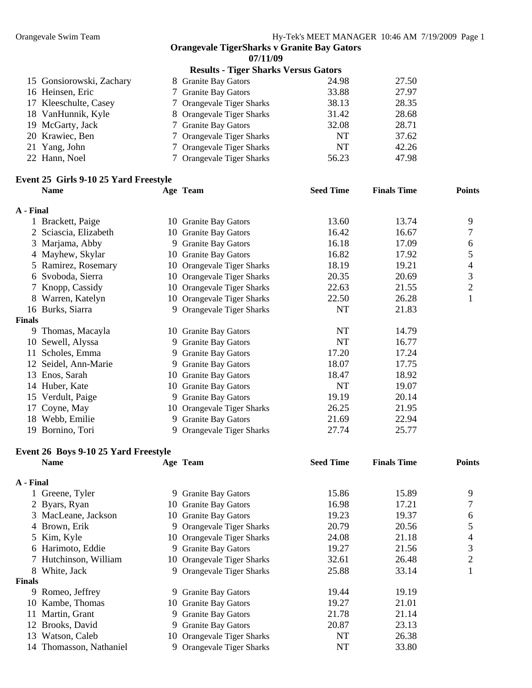**07/11/09** 

|                          | <b>Results - Tiger Sharks Versus Gators</b> |           |       |
|--------------------------|---------------------------------------------|-----------|-------|
| 15 Gonsiorowski, Zachary | 8 Granite Bay Gators                        | 24.98     | 27.50 |
| 16 Heinsen, Eric         | 7 Granite Bay Gators                        | 33.88     | 27.97 |
| 17 Kleeschulte, Casey    | 7 Orangevale Tiger Sharks                   | 38.13     | 28.35 |
| 18 VanHunnik, Kyle       | 8 Orangevale Tiger Sharks                   | 31.42     | 28.68 |
| 19 McGarty, Jack         | 7 Granite Bay Gators                        | 32.08     | 28.71 |
| 20 Krawiec, Ben          | 7 Orangevale Tiger Sharks                   | <b>NT</b> | 37.62 |
| 21 Yang, John            | 7 Orangevale Tiger Sharks                   | NT        | 42.26 |
| 22 Hann, Noel            | 7 Orangevale Tiger Sharks                   | 56.23     | 47.98 |

## **Event 25 Girls 9-10 25 Yard Freestyle**

|               | <b>Name</b>           |    | Age Team                   | <b>Seed Time</b> | <b>Finals Time</b> | <b>Points</b> |
|---------------|-----------------------|----|----------------------------|------------------|--------------------|---------------|
| A - Final     |                       |    |                            |                  |                    |               |
|               | 1 Brackett, Paige     |    | 10 Granite Bay Gators      | 13.60            | 13.74              | 9             |
|               | 2 Sciascia, Elizabeth |    | 10 Granite Bay Gators      | 16.42            | 16.67              | 7             |
|               | 3 Marjama, Abby       |    | 9 Granite Bay Gators       | 16.18            | 17.09              | 6             |
|               | 4 Mayhew, Skylar      |    | 10 Granite Bay Gators      | 16.82            | 17.92              | 5             |
|               | 5 Ramirez, Rosemary   |    | 10 Orangevale Tiger Sharks | 18.19            | 19.21              | 4             |
|               | 6 Svoboda, Sierra     |    | 10 Orangevale Tiger Sharks | 20.35            | 20.69              | 3             |
| 7             | Knopp, Cassidy        |    | 10 Orangevale Tiger Sharks | 22.63            | 21.55              | 2             |
|               | 8 Warren, Katelyn     |    | 10 Orangevale Tiger Sharks | 22.50            | 26.28              | ı             |
|               | 16 Burks, Siarra      |    | 9 Orangevale Tiger Sharks  | NT               | 21.83              |               |
| <b>Finals</b> |                       |    |                            |                  |                    |               |
| 9.            | Thomas, Macayla       |    | 10 Granite Bay Gators      | NT               | 14.79              |               |
| 10            | Sewell, Alyssa        |    | 9 Granite Bay Gators       | NT               | 16.77              |               |
| 11            | Scholes, Emma         |    | 9 Granite Bay Gators       | 17.20            | 17.24              |               |
|               | 12 Seidel, Ann-Marie  |    | 9 Granite Bay Gators       | 18.07            | 17.75              |               |
| 13            | Enos, Sarah           |    | 10 Granite Bay Gators      | 18.47            | 18.92              |               |
|               | 14 Huber, Kate        |    | 10 Granite Bay Gators      | NT               | 19.07              |               |
|               | 15 Verdult, Paige     |    | 9 Granite Bay Gators       | 19.19            | 20.14              |               |
|               | 17 Coyne, May         |    | 10 Orangevale Tiger Sharks | 26.25            | 21.95              |               |
|               | 18 Webb, Emilie       | 9. | <b>Granite Bay Gators</b>  | 21.69            | 22.94              |               |
| 19.           | Bornino, Tori         |    | 9 Orangevale Tiger Sharks  | 27.74            | 25.77              |               |

## **Event 26 Boys 9-10 25 Yard Freestyle**

|               | <b>Name</b>             | Age Team                   | <b>Seed Time</b> | <b>Finals Time</b> | <b>Points</b> |
|---------------|-------------------------|----------------------------|------------------|--------------------|---------------|
| A - Final     |                         |                            |                  |                    |               |
|               | Greene, Tyler           | 9 Granite Bay Gators       | 15.86            | 15.89              | 9             |
|               | 2 Byars, Ryan           | 10 Granite Bay Gators      | 16.98            | 17.21              |               |
|               | 3 MacLeane, Jackson     | 10 Granite Bay Gators      | 19.23            | 19.37              | 6             |
|               | 4 Brown, Erik           | 9 Orangevale Tiger Sharks  | 20.79            | 20.56              | 5             |
|               | 5 Kim, Kyle             | 10 Orangevale Tiger Sharks | 24.08            | 21.18              | 4             |
|               | 6 Harimoto, Eddie       | 9 Granite Bay Gators       | 19.27            | 21.56              | 3             |
|               | 7 Hutchinson, William   | 10 Orangevale Tiger Sharks | 32.61            | 26.48              | 2             |
| 8.            | White, Jack             | 9 Orangevale Tiger Sharks  | 25.88            | 33.14              |               |
| <b>Finals</b> |                         |                            |                  |                    |               |
| 9.            | Romeo, Jeffrey          | 9 Granite Bay Gators       | 19.44            | 19.19              |               |
|               | 10 Kambe, Thomas        | 10 Granite Bay Gators      | 19.27            | 21.01              |               |
| 11            | Martin, Grant           | 9 Granite Bay Gators       | 21.78            | 21.14              |               |
| 12            | Brooks, David           | 9 Granite Bay Gators       | 20.87            | 23.13              |               |
| 13            | Watson, Caleb           | 10 Orangevale Tiger Sharks | NT               | 26.38              |               |
|               | 14 Thomasson, Nathaniel | 9 Orangevale Tiger Sharks  | NT               | 33.80              |               |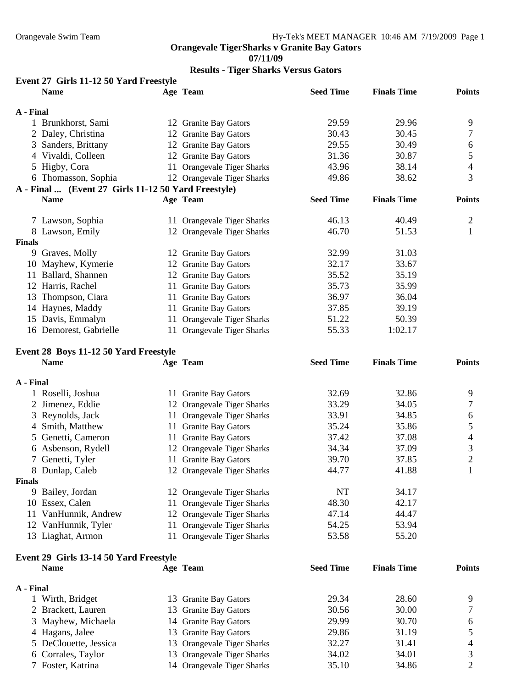**07/11/09** 

## **Results - Tiger Sharks Versus Gators**

| Event 27 Girls 11-12 50 Yard Freestyle |          |           |             |               |
|----------------------------------------|----------|-----------|-------------|---------------|
| Nome                                   | Aga Taam | Seed Time | Finals Time | <b>Dointe</b> |

|               | таше                                                |    | Аge тeam                   | эееа типе        | гшать типе         | romus         |
|---------------|-----------------------------------------------------|----|----------------------------|------------------|--------------------|---------------|
| A - Final     |                                                     |    |                            |                  |                    |               |
|               | 1 Brunkhorst, Sami                                  |    | 12 Granite Bay Gators      | 29.59            | 29.96              | 9             |
|               | 2 Daley, Christina                                  |    | 12 Granite Bay Gators      | 30.43            | 30.45              | 7             |
| 3             | Sanders, Brittany                                   |    | 12 Granite Bay Gators      | 29.55            | 30.49              | 6             |
|               | 4 Vivaldi, Colleen                                  |    | 12 Granite Bay Gators      | 31.36            | 30.87              | 5             |
|               | 5 Higby, Cora                                       |    | 11 Orangevale Tiger Sharks | 43.96            | 38.14              | 4             |
|               | 6 Thomasson, Sophia                                 |    | 12 Orangevale Tiger Sharks | 49.86            | 38.62              | 3             |
|               | A - Final  (Event 27 Girls 11-12 50 Yard Freestyle) |    |                            |                  |                    |               |
|               | <b>Name</b>                                         |    | Age Team                   | <b>Seed Time</b> | <b>Finals Time</b> | <b>Points</b> |
|               |                                                     |    |                            |                  |                    |               |
|               | 7 Lawson, Sophia                                    |    | 11 Orangevale Tiger Sharks | 46.13            | 40.49              | 2             |
|               | 8 Lawson, Emily                                     |    | 12 Orangevale Tiger Sharks | 46.70            | 51.53              |               |
| <b>Finals</b> |                                                     |    |                            |                  |                    |               |
| 9             | Graves, Molly                                       |    | 12 Granite Bay Gators      | 32.99            | 31.03              |               |
|               | 10 Mayhew, Kymerie                                  |    | 12 Granite Bay Gators      | 32.17            | 33.67              |               |
| 11            | Ballard, Shannen                                    |    | 12 Granite Bay Gators      | 35.52            | 35.19              |               |
|               | 12 Harris, Rachel                                   |    | 11 Granite Bay Gators      | 35.73            | 35.99              |               |
| 13            | Thompson, Ciara                                     | 11 | <b>Granite Bay Gators</b>  | 36.97            | 36.04              |               |
|               | 14 Haynes, Maddy                                    |    | 11 Granite Bay Gators      | 37.85            | 39.19              |               |
|               | 15 Davis, Emmalyn                                   |    | 11 Orangevale Tiger Sharks | 51.22            | 50.39              |               |
|               | 16 Demorest, Gabrielle                              |    | 11 Orangevale Tiger Sharks | 55.33            | 1:02.17            |               |
|               |                                                     |    |                            |                  |                    |               |

## **Event 28 Boys 11-12 50 Yard Freestyle**

|               | <b>Name</b>         | Age Team                   | <b>Seed Time</b> | <b>Finals Time</b> | <b>Points</b> |
|---------------|---------------------|----------------------------|------------------|--------------------|---------------|
| A - Final     |                     |                            |                  |                    |               |
|               | 1 Roselli, Joshua   | 11 Granite Bay Gators      | 32.69            | 32.86              | 9             |
|               | 2 Jimenez, Eddie    | 12 Orangevale Tiger Sharks | 33.29            | 34.05              |               |
|               | 3 Reynolds, Jack    | 11 Orangevale Tiger Sharks | 33.91            | 34.85              | 6             |
|               | 4 Smith, Matthew    | 11 Granite Bay Gators      | 35.24            | 35.86              |               |
|               | 5 Genetti, Cameron  | 11 Granite Bay Gators      | 37.42            | 37.08              | 4             |
|               | 6 Asbenson, Rydell  | 12 Orangevale Tiger Sharks | 34.34            | 37.09              | 3             |
|               | 7 Genetti, Tyler    | 11 Granite Bay Gators      | 39.70            | 37.85              | 2             |
|               | 8 Dunlap, Caleb     | 12 Orangevale Tiger Sharks | 44.77            | 41.88              |               |
| <b>Finals</b> |                     |                            |                  |                    |               |
|               | 9 Bailey, Jordan    | 12 Orangevale Tiger Sharks | NT               | 34.17              |               |
|               | 10 Essex, Calen     | 11 Orangevale Tiger Sharks | 48.30            | 42.17              |               |
| 11            | VanHunnik, Andrew   | 12 Orangevale Tiger Sharks | 47.14            | 44.47              |               |
|               | 12 VanHunnik, Tyler | 11 Orangevale Tiger Sharks | 54.25            | 53.94              |               |
|               | 13 Liaghat, Armon   | 11 Orangevale Tiger Sharks | 53.58            | 55.20              |               |

## **Event 29 Girls 13-14 50 Yard Freestyle**

| $E$ and $E$ and $E$ and $E$ and $E$ and $E$ and $E$ and $E$ and $E$ and $E$ and $E$ and $E$ and $E$ and $E$ and $E$ and $E$ and $E$ and $E$ and $E$ and $E$ and $E$ and $E$ and $E$ and $E$ and $E$ and $E$ and $E$ and $E$ a |  |                            |                  |                    |               |  |  |
|-------------------------------------------------------------------------------------------------------------------------------------------------------------------------------------------------------------------------------|--|----------------------------|------------------|--------------------|---------------|--|--|
| <b>Name</b>                                                                                                                                                                                                                   |  | Age Team                   | <b>Seed Time</b> | <b>Finals Time</b> | <b>Points</b> |  |  |
| A - Final                                                                                                                                                                                                                     |  |                            |                  |                    |               |  |  |
| Wirth, Bridget                                                                                                                                                                                                                |  | 13 Granite Bay Gators      | 29.34            | 28.60              | Q             |  |  |
| 2 Brackett, Lauren                                                                                                                                                                                                            |  | 13 Granite Bay Gators      | 30.56            | 30.00              |               |  |  |
| 3 Mayhew, Michaela                                                                                                                                                                                                            |  | 14 Granite Bay Gators      | 29.99            | 30.70              | 6             |  |  |
| 4 Hagans, Jalee                                                                                                                                                                                                               |  | 13 Granite Bay Gators      | 29.86            | 31.19              |               |  |  |
| 5 DeClouette, Jessica                                                                                                                                                                                                         |  | 13 Orangevale Tiger Sharks | 32.27            | 31.41              |               |  |  |
| 6 Corrales, Taylor                                                                                                                                                                                                            |  | 13 Orangevale Tiger Sharks | 34.02            | 34.01              |               |  |  |
| 7 Foster, Katrina                                                                                                                                                                                                             |  | 14 Orangevale Tiger Sharks | 35.10            | 34.86              |               |  |  |
|                                                                                                                                                                                                                               |  |                            |                  |                    |               |  |  |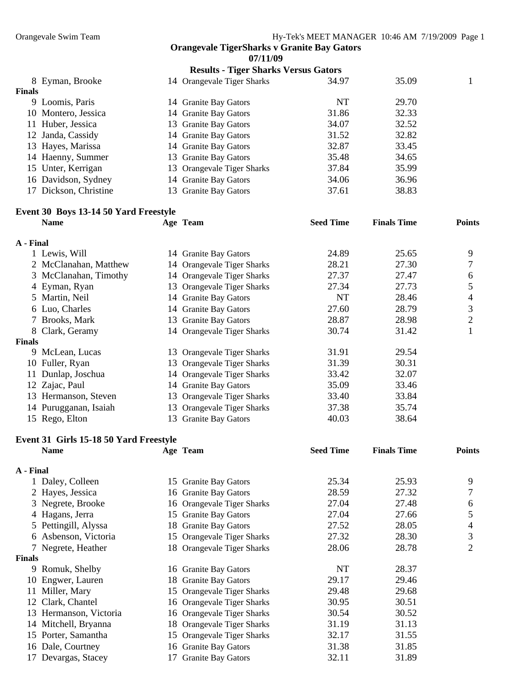**07/11/09** 

|               |                       | <b>Results - Tiger Sharks Versus Gators</b> |                            |       |  |       |  |
|---------------|-----------------------|---------------------------------------------|----------------------------|-------|--|-------|--|
|               | 8 Eyman, Brooke       |                                             | 14 Orangevale Tiger Sharks | 34.97 |  | 35.09 |  |
| <b>Finals</b> |                       |                                             |                            |       |  |       |  |
|               | 9 Loomis, Paris       |                                             | 14 Granite Bay Gators      | NT    |  | 29.70 |  |
|               | 10 Montero, Jessica   |                                             | 14 Granite Bay Gators      | 31.86 |  | 32.33 |  |
|               | 11 Huber, Jessica     |                                             | 13 Granite Bay Gators      | 34.07 |  | 32.52 |  |
|               | 12 Janda, Cassidy     |                                             | 14 Granite Bay Gators      | 31.52 |  | 32.82 |  |
|               | 13 Hayes, Marissa     |                                             | 14 Granite Bay Gators      | 32.87 |  | 33.45 |  |
|               | 14 Haenny, Summer     |                                             | 13 Granite Bay Gators      | 35.48 |  | 34.65 |  |
|               | 15 Unter, Kerrigan    |                                             | 13 Orangevale Tiger Sharks | 37.84 |  | 35.99 |  |
|               | 16 Davidson, Sydney   |                                             | 14 Granite Bay Gators      | 34.06 |  | 36.96 |  |
|               | 17 Dickson, Christine |                                             | 13 Granite Bay Gators      | 37.61 |  | 38.83 |  |

## **Event 30 Boys 13-14 50 Yard Freestyle**

|               | <b>Name</b>           |    | Age Team                   | <b>Seed Time</b> | <b>Finals Time</b> | <b>Points</b> |
|---------------|-----------------------|----|----------------------------|------------------|--------------------|---------------|
| A - Final     |                       |    |                            |                  |                    |               |
|               | 1 Lewis, Will         |    | 14 Granite Bay Gators      | 24.89            | 25.65              | 9             |
|               | 2 McClanahan, Matthew |    | 14 Orangevale Tiger Sharks | 28.21            | 27.30              | 7             |
|               | 3 McClanahan, Timothy |    | 14 Orangevale Tiger Sharks | 27.37            | 27.47              | 6             |
|               | 4 Eyman, Ryan         |    | 13 Orangevale Tiger Sharks | 27.34            | 27.73              |               |
|               | 5 Martin, Neil        |    | 14 Granite Bay Gators      | NT               | 28.46              | 4             |
|               | 6 Luo, Charles        |    | 14 Granite Bay Gators      | 27.60            | 28.79              | 3             |
| 7             | Brooks, Mark          |    | 13 Granite Bay Gators      | 28.87            | 28.98              | 2             |
|               | 8 Clark, Geramy       |    | 14 Orangevale Tiger Sharks | 30.74            | 31.42              |               |
| <b>Finals</b> |                       |    |                            |                  |                    |               |
|               | 9 McLean, Lucas       |    | 13 Orangevale Tiger Sharks | 31.91            | 29.54              |               |
|               | 10 Fuller, Ryan       |    | 13 Orangevale Tiger Sharks | 31.39            | 30.31              |               |
|               | 11 Dunlap, Joschua    |    | 14 Orangevale Tiger Sharks | 33.42            | 32.07              |               |
|               | 12 Zajac, Paul        |    | 14 Granite Bay Gators      | 35.09            | 33.46              |               |
|               | 13 Hermanson, Steven  |    | 13 Orangevale Tiger Sharks | 33.40            | 33.84              |               |
|               | 14 Purugganan, Isaiah |    | 13 Orangevale Tiger Sharks | 37.38            | 35.74              |               |
|               | 15 Rego, Elton        | 13 | <b>Granite Bay Gators</b>  | 40.03            | 38.64              |               |

#### **Event 31 Girls 15-18 50 Yard Freestyle**

|               | <b>Name</b>            |    | Age Team                   | <b>Seed Time</b> | <b>Finals Time</b> | <b>Points</b> |
|---------------|------------------------|----|----------------------------|------------------|--------------------|---------------|
| A - Final     |                        |    |                            |                  |                    |               |
|               | Daley, Colleen         | 15 | <b>Granite Bay Gators</b>  | 25.34            | 25.93              | 9             |
|               | 2 Hayes, Jessica       |    | 16 Granite Bay Gators      | 28.59            | 27.32              | 7             |
|               | 3 Negrete, Brooke      |    | 16 Orangevale Tiger Sharks | 27.04            | 27.48              | 6             |
|               | 4 Hagans, Jerra        |    | 15 Granite Bay Gators      | 27.04            | 27.66              | 5             |
|               | 5 Pettingill, Alyssa   |    | 18 Granite Bay Gators      | 27.52            | 28.05              | 4             |
|               | 6 Asbenson, Victoria   |    | 15 Orangevale Tiger Sharks | 27.32            | 28.30              | 3             |
|               | 7 Negrete, Heather     |    | 18 Orangevale Tiger Sharks | 28.06            | 28.78              | 2             |
| <b>Finals</b> |                        |    |                            |                  |                    |               |
| 9             | Romuk, Shelby          |    | 16 Granite Bay Gators      | NT               | 28.37              |               |
|               | 10 Engwer, Lauren      |    | 18 Granite Bay Gators      | 29.17            | 29.46              |               |
|               | 11 Miller, Mary        |    | 15 Orangevale Tiger Sharks | 29.48            | 29.68              |               |
|               | 12 Clark, Chantel      |    | 16 Orangevale Tiger Sharks | 30.95            | 30.51              |               |
|               | 13 Hermanson, Victoria |    | 16 Orangevale Tiger Sharks | 30.54            | 30.52              |               |
|               | 14 Mitchell, Bryanna   |    | 18 Orangevale Tiger Sharks | 31.19            | 31.13              |               |
|               | 15 Porter, Samantha    |    | 15 Orangevale Tiger Sharks | 32.17            | 31.55              |               |
|               | 16 Dale, Courtney      |    | 16 Granite Bay Gators      | 31.38            | 31.85              |               |
| 17            | Devargas, Stacey       |    | 17 Granite Bay Gators      | 32.11            | 31.89              |               |
|               |                        |    |                            |                  |                    |               |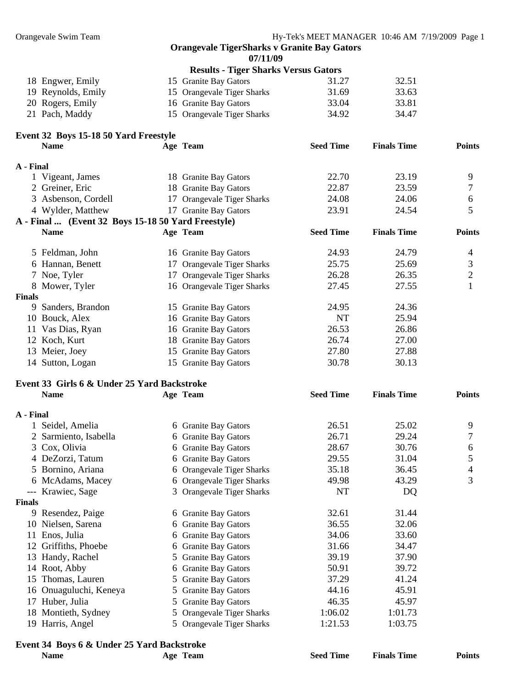**07/11/09** 

|  |                    | <b>Results - Tiger Sharks Versus Gators</b> |       |       |  |
|--|--------------------|---------------------------------------------|-------|-------|--|
|  | 18 Engwer, Emily   | 15 Granite Bay Gators                       | 31.27 | 32.51 |  |
|  | 19 Reynolds, Emily | 15 Orangevale Tiger Sharks                  | 31.69 | 33.63 |  |
|  | 20 Rogers, Emily   | 16 Granite Bay Gators                       | 33.04 | 33.81 |  |
|  | 21 Pach, Maddy     | 15 Orangevale Tiger Sharks                  | 34.92 | 34.47 |  |

# **Event 32 Boys 15-18 50 Yard Freestyle**

|               | <b>Name</b>                                        | Age Team                   | <b>Seed Time</b> | <b>Finals Time</b> | <b>Points</b> |
|---------------|----------------------------------------------------|----------------------------|------------------|--------------------|---------------|
| A - Final     |                                                    |                            |                  |                    |               |
|               | 1 Vigeant, James                                   | 18 Granite Bay Gators      | 22.70            | 23.19              | 9             |
|               | 2 Greiner, Eric                                    | 18 Granite Bay Gators      | 22.87            | 23.59              | 7             |
|               | 3 Asbenson, Cordell                                | 17 Orangevale Tiger Sharks | 24.08            | 24.06              | 6             |
|               | 4 Wylder, Matthew                                  | 17 Granite Bay Gators      | 23.91            | 24.54              | 5             |
|               | A - Final  (Event 32 Boys 15-18 50 Yard Freestyle) |                            |                  |                    |               |
|               | <b>Name</b>                                        | Age Team                   | <b>Seed Time</b> | <b>Finals Time</b> | <b>Points</b> |
|               | 5 Feldman, John                                    | 16 Granite Bay Gators      | 24.93            | 24.79              | 4             |
|               | 6 Hannan, Benett                                   | 17 Orangevale Tiger Sharks | 25.75            | 25.69              | 3             |
|               | 7 Noe, Tyler                                       | 17 Orangevale Tiger Sharks | 26.28            | 26.35              | $\sqrt{2}$    |
|               | 8 Mower, Tyler                                     | 16 Orangevale Tiger Sharks | 27.45            | 27.55              | $\mathbf{1}$  |
| <b>Finals</b> |                                                    |                            |                  |                    |               |
| 9             | Sanders, Brandon                                   | 15 Granite Bay Gators      | 24.95            | 24.36              |               |
|               | 10 Bouck, Alex                                     | 16 Granite Bay Gators      | <b>NT</b>        | 25.94              |               |
|               | 11 Vas Dias, Ryan                                  | 16 Granite Bay Gators      | 26.53            | 26.86              |               |
|               | 12 Koch, Kurt                                      | 18 Granite Bay Gators      | 26.74            | 27.00              |               |
|               | 13 Meier, Joey                                     | 15 Granite Bay Gators      | 27.80            | 27.88              |               |
|               | 14 Sutton, Logan                                   | 15 Granite Bay Gators      | 30.78            | 30.13              |               |
|               | Event 33 Girls 6 & Under 25 Yard Backstroke        |                            |                  |                    |               |
|               | <b>Name</b>                                        | Age Team                   | <b>Seed Time</b> | <b>Finals Time</b> | <b>Points</b> |
| A - Final     |                                                    |                            |                  |                    |               |
|               | 1 Seidel, Amelia                                   | 6 Granite Bay Gators       | 26.51            | 25.02              | 9             |
|               | 2 Sarmiento, Isabella                              | 6 Granite Bay Gators       | 26.71            | 29.24              | 7             |
|               | 3 Cox, Olivia                                      | 6 Granite Bay Gators       | 28.67            | 30.76              | 6             |
|               | 4 DeZorzi, Tatum                                   | 6 Granite Bay Gators       | 29.55            | 31.04              | 5             |
|               | 5 Bornino, Ariana                                  | 6 Orangevale Tiger Sharks  | 35.18            | 36.45              | 4             |
|               | 6 McAdams, Macey                                   | 6 Orangevale Tiger Sharks  | 49.98            | 43.29              | 3             |
|               | --- Krawiec, Sage                                  | 3 Orangevale Tiger Sharks  | NT               | DQ                 |               |
|               |                                                    |                            |                  |                    |               |

#### **Finals**

| 6 Granite Bay Gators                                                                                                                                                                                                                         | 32.61   | 31.44   |
|----------------------------------------------------------------------------------------------------------------------------------------------------------------------------------------------------------------------------------------------|---------|---------|
| 6 Granite Bay Gators                                                                                                                                                                                                                         | 36.55   | 32.06   |
| 6 Granite Bay Gators                                                                                                                                                                                                                         | 34.06   | 33.60   |
| 6 Granite Bay Gators                                                                                                                                                                                                                         | 31.66   | 34.47   |
| 5 Granite Bay Gators                                                                                                                                                                                                                         | 39.19   | 37.90   |
| 6 Granite Bay Gators                                                                                                                                                                                                                         | 50.91   | 39.72   |
| 5 Granite Bay Gators                                                                                                                                                                                                                         | 37.29   | 41.24   |
| 5 Granite Bay Gators                                                                                                                                                                                                                         | 44.16   | 45.91   |
| 5 Granite Bay Gators                                                                                                                                                                                                                         | 46.35   | 45.97   |
| 5 Orangevale Tiger Sharks                                                                                                                                                                                                                    | 1:06.02 | 1:01.73 |
| 5 Orangevale Tiger Sharks                                                                                                                                                                                                                    | 1:21.53 | 1:03.75 |
| inals<br>9 Resendez, Paige<br>10 Nielsen, Sarena<br>11 Enos, Julia<br>12 Griffiths, Phoebe<br>13 Handy, Rachel<br>14 Root, Abby<br>15 Thomas, Lauren<br>16 Onuaguluchi, Keneya<br>17 Huber, Julia<br>18 Montieth, Sydney<br>19 Harris, Angel |         |         |

#### **Event 34 Boys 6 & Under 25 Yard Backstroke**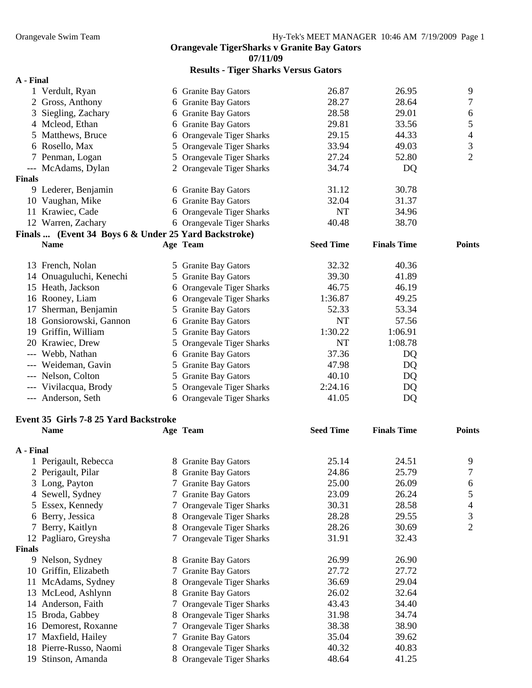**07/11/09** 

| <b>Results - Tiger Sharks Versus Gators</b> |  |
|---------------------------------------------|--|
|---------------------------------------------|--|

| A - Final                                            |   |                           |                  |                    |                |
|------------------------------------------------------|---|---------------------------|------------------|--------------------|----------------|
| 1 Verdult, Ryan                                      |   | 6 Granite Bay Gators      | 26.87            | 26.95              | 9              |
| 2 Gross, Anthony                                     |   | 6 Granite Bay Gators      | 28.27            | 28.64              | 7              |
| 3 Siegling, Zachary                                  |   | 6 Granite Bay Gators      | 28.58            | 29.01              | 6              |
| 4 Mcleod, Ethan                                      |   | 6 Granite Bay Gators      | 29.81            | 33.56              | 5              |
| 5 Matthews, Bruce                                    |   | 6 Orangevale Tiger Sharks | 29.15            | 44.33              | 4              |
| 6 Rosello, Max                                       |   | 5 Orangevale Tiger Sharks | 33.94            | 49.03              | 3              |
| 7 Penman, Logan                                      |   | 5 Orangevale Tiger Sharks | 27.24            | 52.80              | $\overline{2}$ |
| --- McAdams, Dylan                                   |   | 2 Orangevale Tiger Sharks | 34.74            | DQ                 |                |
| <b>Finals</b>                                        |   |                           |                  |                    |                |
| 9 Lederer, Benjamin                                  |   | 6 Granite Bay Gators      | 31.12            | 30.78              |                |
| 10 Vaughan, Mike                                     |   | 6 Granite Bay Gators      | 32.04            | 31.37              |                |
| 11 Krawiec, Cade                                     |   | 6 Orangevale Tiger Sharks | <b>NT</b>        | 34.96              |                |
| 12 Warren, Zachary                                   |   | 6 Orangevale Tiger Sharks | 40.48            | 38.70              |                |
| Finals  (Event 34 Boys 6 & Under 25 Yard Backstroke) |   |                           |                  |                    |                |
| <b>Name</b>                                          |   | Age Team                  | <b>Seed Time</b> | <b>Finals Time</b> | <b>Points</b>  |
|                                                      |   |                           |                  |                    |                |
| 13 French, Nolan                                     |   | 5 Granite Bay Gators      | 32.32            | 40.36              |                |
| 14 Onuaguluchi, Kenechi                              |   | 5 Granite Bay Gators      | 39.30            | 41.89              |                |
| 15 Heath, Jackson                                    |   | 6 Orangevale Tiger Sharks | 46.75            | 46.19              |                |
| 16 Rooney, Liam                                      |   | 6 Orangevale Tiger Sharks | 1:36.87          | 49.25              |                |
| 17 Sherman, Benjamin                                 |   | 5 Granite Bay Gators      | 52.33            | 53.34              |                |
| 18 Gonsiorowski, Gannon                              |   | 6 Granite Bay Gators      | <b>NT</b>        | 57.56              |                |
| 19 Griffin, William                                  |   | 5 Granite Bay Gators      | 1:30.22          | 1:06.91            |                |
| 20 Krawiec, Drew                                     |   | 5 Orangevale Tiger Sharks | <b>NT</b>        | 1:08.78            |                |
|                                                      |   |                           | 37.36            |                    |                |
| --- Webb, Nathan                                     |   | 6 Granite Bay Gators      |                  | DQ                 |                |
| --- Weideman, Gavin                                  |   | 5 Granite Bay Gators      | 47.98            | DQ                 |                |
| --- Nelson, Colton                                   |   | 5 Granite Bay Gators      | 40.10            | DQ                 |                |
| --- Vivilacqua, Brody                                |   | 5 Orangevale Tiger Sharks | 2:24.16          | DQ                 |                |
| --- Anderson, Seth                                   |   | 6 Orangevale Tiger Sharks | 41.05            | DQ                 |                |
| Event 35 Girls 7-8 25 Yard Backstroke                |   |                           |                  |                    |                |
| <b>Name</b>                                          |   | Age Team                  | <b>Seed Time</b> | <b>Finals Time</b> | <b>Points</b>  |
|                                                      |   |                           |                  |                    |                |
| A - Final                                            |   |                           |                  |                    |                |
| Perigault, Rebecca                                   |   | 8 Granite Bay Gators      | 25.14            | 24.51              | 9              |
| 2 Perigault, Pilar                                   |   | 8 Granite Bay Gators      | 24.86            | 25.79              | 7              |
| 3 Long, Payton                                       |   | 7 Granite Bay Gators      | 25.00            | 26.09              | 6              |
| 4 Sewell, Sydney                                     |   | 7 Granite Bay Gators      | 23.09            | 26.24              | 5              |
| 5 Essex, Kennedy                                     |   | 7 Orangevale Tiger Sharks | 30.31            | 28.58              | 4              |
| 6 Berry, Jessica                                     |   | 8 Orangevale Tiger Sharks | 28.28            | 29.55              | 3              |
| 7 Berry, Kaitlyn                                     |   | 8 Orangevale Tiger Sharks | 28.26            | 30.69              | $\overline{2}$ |
| 12 Pagliaro, Greysha                                 |   | 7 Orangevale Tiger Sharks | 31.91            | 32.43              |                |
| <b>Finals</b>                                        |   |                           |                  |                    |                |
| 9 Nelson, Sydney                                     |   | 8 Granite Bay Gators      | 26.99            | 26.90              |                |
| 10 Griffin, Elizabeth                                |   | 7 Granite Bay Gators      | 27.72            | 27.72              |                |
| 11 McAdams, Sydney                                   |   | 8 Orangevale Tiger Sharks | 36.69            | 29.04              |                |
| 13 McLeod, Ashlynn                                   |   | 8 Granite Bay Gators      | 26.02            | 32.64              |                |
| 14 Anderson, Faith                                   |   | 7 Orangevale Tiger Sharks | 43.43            | 34.40              |                |
| 15 Broda, Gabbey                                     |   | 8 Orangevale Tiger Sharks | 31.98            | 34.74              |                |
| 16 Demorest, Roxanne                                 |   | 7 Orangevale Tiger Sharks | 38.38            | 38.90              |                |
| 17 Maxfield, Hailey                                  |   | 7 Granite Bay Gators      | 35.04            | 39.62              |                |
| 18 Pierre-Russo, Naomi                               | 8 | Orangevale Tiger Sharks   | 40.32            | 40.83              |                |
| 19 Stinson, Amanda                                   |   | 8 Orangevale Tiger Sharks | 48.64            | 41.25              |                |
|                                                      |   |                           |                  |                    |                |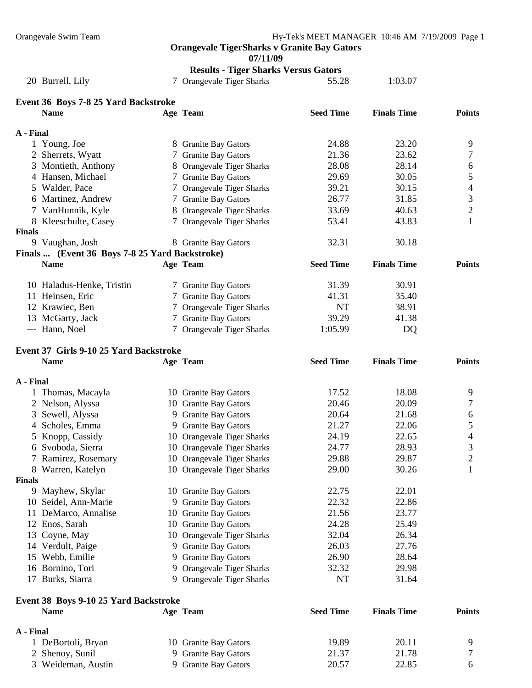|               |                                                |    | Orangevale TigerSharks v Granite Bay Gators<br>07/11/09 |                  |                    |                |
|---------------|------------------------------------------------|----|---------------------------------------------------------|------------------|--------------------|----------------|
|               |                                                |    | <b>Results - Tiger Sharks Versus Gators</b>             |                  |                    |                |
|               | 20 Burrell, Lily                               |    | 7 Orangevale Tiger Sharks                               | 55.28            | 1:03.07            |                |
|               | Event 36 Boys 7-8 25 Yard Backstroke           |    |                                                         |                  |                    |                |
|               | <b>Name</b>                                    |    | Age Team                                                | <b>Seed Time</b> | <b>Finals Time</b> | <b>Points</b>  |
| A - Final     |                                                |    |                                                         |                  |                    |                |
|               | 1 Young, Joe                                   |    | 8 Granite Bay Gators                                    | 24.88            | 23.20              | 9              |
|               | 2 Sherrets, Wyatt                              |    | 7 Granite Bay Gators                                    | 21.36            | 23.62              | 7              |
|               | 3 Montieth, Anthony                            |    | 8 Orangevale Tiger Sharks                               | 28.08            | 28.14              | 6              |
|               | 4 Hansen, Michael                              |    | 7 Granite Bay Gators                                    | 29.69            | 30.05              | 5              |
|               | 5 Walder, Pace                                 |    | 7 Orangevale Tiger Sharks                               | 39.21            | 30.15              | $\overline{4}$ |
|               | 6 Martinez, Andrew                             |    | 7 Granite Bay Gators                                    | 26.77            | 31.85              | 3              |
|               | 7 VanHunnik, Kyle                              |    | 8 Orangevale Tiger Sharks                               | 33.69            | 40.63              | $\overline{c}$ |
|               | 8 Kleeschulte, Casey                           |    | 7 Orangevale Tiger Sharks                               | 53.41            | 43.83              | $\mathbf{1}$   |
| <b>Finals</b> | 9 Vaughan, Josh                                |    | 8 Granite Bay Gators                                    | 32.31            | 30.18              |                |
|               | Finals  (Event 36 Boys 7-8 25 Yard Backstroke) |    |                                                         |                  |                    |                |
|               | <b>Name</b>                                    |    | Age Team                                                | <b>Seed Time</b> | <b>Finals Time</b> | <b>Points</b>  |
|               | 10 Haladus-Henke, Tristin                      |    | 7 Granite Bay Gators                                    | 31.39            | 30.91              |                |
|               | 11 Heinsen, Eric                               |    | 7 Granite Bay Gators                                    | 41.31            | 35.40              |                |
|               | 12 Krawiec, Ben                                |    | 7 Orangevale Tiger Sharks                               | <b>NT</b>        | 38.91              |                |
|               | 13 McGarty, Jack                               |    | 7 Granite Bay Gators                                    | 39.29            | 41.38              |                |
|               | --- Hann, Noel                                 |    | 7 Orangevale Tiger Sharks                               | 1:05.99          | DQ                 |                |
|               | Event 37 Girls 9-10 25 Yard Backstroke         |    |                                                         |                  |                    |                |
|               | <b>Name</b>                                    |    | Age Team                                                | <b>Seed Time</b> | <b>Finals Time</b> | <b>Points</b>  |
|               |                                                |    |                                                         |                  |                    |                |
| A - Final     |                                                |    |                                                         |                  |                    |                |
|               | 1 Thomas, Macayla                              |    | 10 Granite Bay Gators                                   | 17.52            | 18.08              | 9              |
|               | 2 Nelson, Alyssa                               |    | 10 Granite Bay Gators                                   | 20.46            | 20.09              | 7              |
|               | 3 Sewell, Alyssa                               |    | 9 Granite Bay Gators                                    | 20.64            | 21.68              | 6              |
|               | 4 Scholes, Emma                                |    | 9 Granite Bay Gators                                    | 21.27            | 22.06              | 5              |
|               | 5 Knopp, Cassidy                               |    | 10 Orangevale Tiger Sharks                              | 24.19            | 22.65              | 4              |
|               | 6 Svoboda, Sierra                              |    | 10 Orangevale Tiger Sharks                              | 24.77            | 28.93              | 3              |
|               | 7 Ramirez, Rosemary                            |    | 10 Orangevale Tiger Sharks                              | 29.88            | 29.87              | 2              |
|               | 8 Warren, Katelyn                              |    | 10 Orangevale Tiger Sharks                              | 29.00            | 30.26              | 1              |
| <b>Finals</b> |                                                |    |                                                         |                  |                    |                |
|               | 9 Mayhew, Skylar                               |    | 10 Granite Bay Gators                                   | 22.75            | 22.01              |                |
|               | 10 Seidel, Ann-Marie                           | 9  | <b>Granite Bay Gators</b>                               | 22.32            | 22.86              |                |
|               | 11 DeMarco, Annalise                           |    | 10 Granite Bay Gators                                   | 21.56            | 23.77              |                |
|               | 12 Enos, Sarah                                 |    | 10 Granite Bay Gators                                   | 24.28            | 25.49              |                |
|               | 13 Coyne, May                                  |    | 10 Orangevale Tiger Sharks                              | 32.04            | 26.34              |                |
|               | 14 Verdult, Paige                              |    | 9 Granite Bay Gators                                    | 26.03            | 27.76              |                |
|               | 15 Webb, Emilie                                | 9. | <b>Granite Bay Gators</b>                               | 26.90            | 28.64              |                |
|               | 16 Bornino, Tori                               | 9. | Orangevale Tiger Sharks                                 | 32.32            | 29.98              |                |
|               | 17 Burks, Siarra                               |    | 9 Orangevale Tiger Sharks                               | NT               | 31.64              |                |
|               | Event 38 Boys 9-10 25 Yard Backstroke          |    |                                                         |                  |                    |                |

| <b>Name</b>        | Age Team              | <b>Seed Time</b> | <b>Finals Time</b> | <b>Points</b> |
|--------------------|-----------------------|------------------|--------------------|---------------|
| A - Final          |                       |                  |                    |               |
| DeBortoli, Bryan   | 10 Granite Bay Gators | 19.89            | 20.11              |               |
| 2 Shenoy, Sunil    | 9 Granite Bay Gators  | 21.37            | 21.78              |               |
| 3 Weideman, Austin | 9 Granite Bay Gators  | 20.57            | 22.85              |               |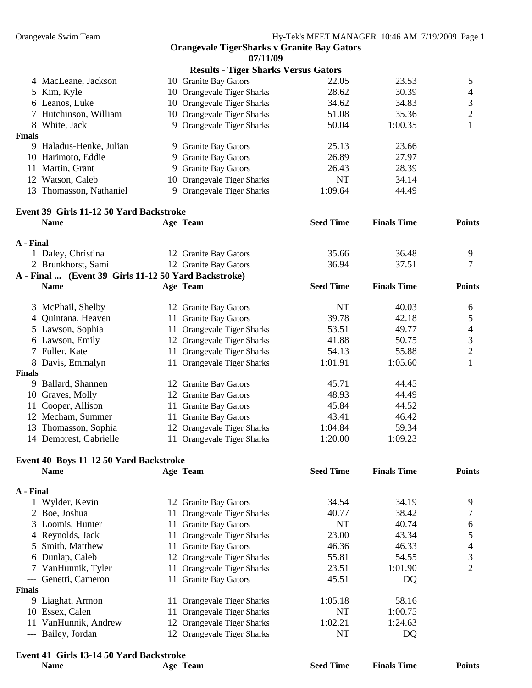| 07/11/09 |  |
|----------|--|
|----------|--|

|               |                         | <b>Results - Tiger Sharks Versus Gators</b> |           |         |                |
|---------------|-------------------------|---------------------------------------------|-----------|---------|----------------|
|               | 4 MacLeane, Jackson     | 10 Granite Bay Gators                       | 22.05     | 23.53   | 5              |
|               | 5 Kim, Kyle             | 10 Orangevale Tiger Sharks                  | 28.62     | 30.39   | $\overline{4}$ |
|               | 6 Leanos, Luke          | 10 Orangevale Tiger Sharks                  | 34.62     | 34.83   | 3              |
|               | 7 Hutchinson, William   | 10 Orangevale Tiger Sharks                  | 51.08     | 35.36   | 2              |
|               | 8 White, Jack           | 9 Orangevale Tiger Sharks                   | 50.04     | 1:00.35 |                |
| <b>Finals</b> |                         |                                             |           |         |                |
| 9.            | Haladus-Henke, Julian   | 9 Granite Bay Gators                        | 25.13     | 23.66   |                |
|               | 10 Harimoto, Eddie      | 9 Granite Bay Gators                        | 26.89     | 27.97   |                |
|               | Martin, Grant           | 9 Granite Bay Gators                        | 26.43     | 28.39   |                |
|               | 12 Watson, Caleb        | 10 Orangevale Tiger Sharks                  | <b>NT</b> | 34.14   |                |
|               | 13 Thomasson, Nathaniel | 9 Orangevale Tiger Sharks                   | 1:09.64   | 44.49   |                |

## **Event 39 Girls 11-12 50 Yard Backstroke**

| Little 97 Andre 11-12 50 Taru Dathsu Unt             |                       |                  |                    |               |
|------------------------------------------------------|-----------------------|------------------|--------------------|---------------|
| <b>Name</b>                                          | Age Team              | <b>Seed Time</b> | <b>Finals Time</b> | <b>Points</b> |
| A - Final                                            |                       |                  |                    |               |
| 1 Daley, Christina                                   | 12 Granite Bay Gators | 35.66            | 36.48              |               |
| 2 Brunkhorst, Sami                                   | 12 Granite Bay Gators | 36.94            | 37.51              |               |
| A - Final  (Event 39 Girls 11-12.50 Yard Backstroke) |                       |                  |                    |               |

|               | Thin $\frac{1}{2}$ (EVent b) only 11 12 by Tara Dacket one) |                            |                  |                    |               |
|---------------|-------------------------------------------------------------|----------------------------|------------------|--------------------|---------------|
|               | <b>Name</b>                                                 | Age Team                   | <b>Seed Time</b> | <b>Finals Time</b> | <b>Points</b> |
|               | 3 McPhail, Shelby                                           | 12 Granite Bay Gators      | NT               | 40.03              | 6             |
|               | 4 Quintana, Heaven                                          | 11 Granite Bay Gators      | 39.78            | 42.18              |               |
|               | 5 Lawson, Sophia                                            | 11 Orangevale Tiger Sharks | 53.51            | 49.77              | 4             |
|               | 6 Lawson, Emily                                             | 12 Orangevale Tiger Sharks | 41.88            | 50.75              | 3             |
|               | 7 Fuller, Kate                                              | 11 Orangevale Tiger Sharks | 54.13            | 55.88              | $\gamma$      |
|               | 8 Davis, Emmalyn                                            | 11 Orangevale Tiger Sharks | 1:01.91          | 1:05.60            |               |
| <b>Finals</b> |                                                             |                            |                  |                    |               |
| 9.            | Ballard, Shannen                                            | 12 Granite Bay Gators      | 45.71            | 44.45              |               |
|               | 10 Graves, Molly                                            | 12 Granite Bay Gators      | 48.93            | 44.49              |               |
|               | 11 Cooper, Allison                                          | 11 Granite Bay Gators      | 45.84            | 44.52              |               |
|               | 12 Mecham, Summer                                           | 11 Granite Bay Gators      | 43.41            | 46.42              |               |
|               | 13 Thomasson, Sophia                                        | 12 Orangevale Tiger Sharks | 1:04.84          | 59.34              |               |
|               | 14 Demorest, Gabrielle                                      | 11 Orangevale Tiger Sharks | 1:20.00          | 1:09.23            |               |
|               |                                                             |                            |                  |                    |               |

#### **Event 40 Boys 11-12 50 Yard Backstroke**

|               | <b>Name</b>                                           | Age Team                   | <b>Seed Time</b> | <b>Finals Time</b> | <b>Points</b> |
|---------------|-------------------------------------------------------|----------------------------|------------------|--------------------|---------------|
| A - Final     |                                                       |                            |                  |                    |               |
|               | 1 Wylder, Kevin                                       | 12 Granite Bay Gators      | 34.54            | 34.19              | 9             |
|               | 2 Boe, Joshua                                         | 11 Orangevale Tiger Sharks | 40.77            | 38.42              |               |
|               | 3 Loomis, Hunter                                      | 11 Granite Bay Gators      | NT               | 40.74              | 6             |
|               | 4 Reynolds, Jack                                      | 11 Orangevale Tiger Sharks | 23.00            | 43.34              | 5             |
|               | 5 Smith, Matthew                                      | 11 Granite Bay Gators      | 46.36            | 46.33              | 4             |
|               | 6 Dunlap, Caleb                                       | 12 Orangevale Tiger Sharks | 55.81            | 54.55              | 3             |
|               | 7 VanHunnik, Tyler                                    | 11 Orangevale Tiger Sharks | 23.51            | 1:01.90            | 2             |
|               | --- Genetti, Cameron                                  | 11 Granite Bay Gators      | 45.51            | DQ                 |               |
| <b>Finals</b> |                                                       |                            |                  |                    |               |
|               | 9 Liaghat, Armon                                      | 11 Orangevale Tiger Sharks | 1:05.18          | 58.16              |               |
|               | 10 Essex, Calen                                       | 11 Orangevale Tiger Sharks | NT               | 1:00.75            |               |
| 11            | VanHunnik, Andrew                                     | 12 Orangevale Tiger Sharks | 1:02.21          | 1:24.63            |               |
|               | --- Bailey, Jordan                                    | 12 Orangevale Tiger Sharks | NT               | DQ                 |               |
|               | $\sim$ 44 $\sim$ 1.40 44 50 $\sigma$ 1.50 $\sim$ 1.41 |                            |                  |                    |               |

## **Event 41 Girls 13-14 50 Yard Backstroke**

| Livin il villo lo 1 i co Tara Dachon one |                    |                  |                    |               |
|------------------------------------------|--------------------|------------------|--------------------|---------------|
| <b>Name</b>                              | <b>Team</b><br>Age | <b>Seed Time</b> | <b>Finals Time</b> | <b>Points</b> |
|                                          |                    |                  |                    |               |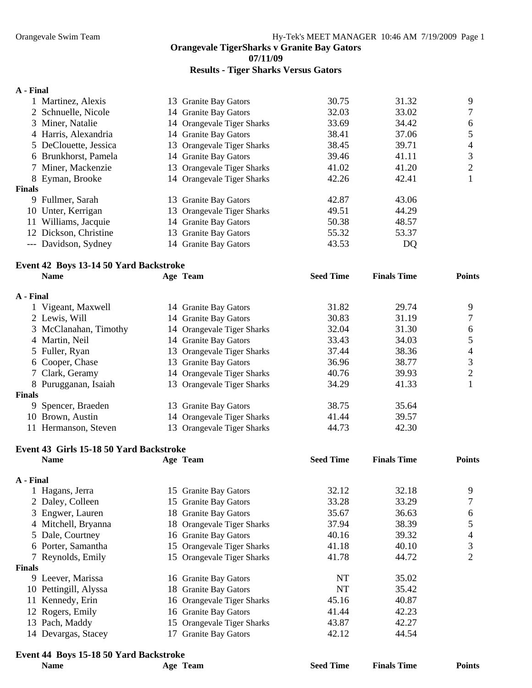**07/11/09** 

#### **Results - Tiger Sharks Versus Gators**

#### **A - Final**

|               | Martinez, Alexis      | 13 Granite Bay Gators      | 30.75 | 31.32 | 9 |
|---------------|-----------------------|----------------------------|-------|-------|---|
|               | 2 Schnuelle, Nicole   | 14 Granite Bay Gators      | 32.03 | 33.02 | 7 |
|               | 3 Miner, Natalie      | 14 Orangevale Tiger Sharks | 33.69 | 34.42 | 6 |
|               | 4 Harris, Alexandria  | 14 Granite Bay Gators      | 38.41 | 37.06 | 5 |
|               | 5 DeClouette, Jessica | 13 Orangevale Tiger Sharks | 38.45 | 39.71 | 4 |
|               | 6 Brunkhorst, Pamela  | 14 Granite Bay Gators      | 39.46 | 41.11 | 3 |
|               | 7 Miner, Mackenzie    | 13 Orangevale Tiger Sharks | 41.02 | 41.20 | 2 |
|               | 8 Eyman, Brooke       | 14 Orangevale Tiger Sharks | 42.26 | 42.41 |   |
| <b>Finals</b> |                       |                            |       |       |   |
| 9.            | Fullmer, Sarah        | 13 Granite Bay Gators      | 42.87 | 43.06 |   |
|               | 10 Unter, Kerrigan    | 13 Orangevale Tiger Sharks | 49.51 | 44.29 |   |
| 11            | Williams, Jacquie     | 14 Granite Bay Gators      | 50.38 | 48.57 |   |
|               | 12 Dickson, Christine | 13 Granite Bay Gators      | 55.32 | 53.37 |   |
|               | --- Davidson, Sydney  | 14 Granite Bay Gators      | 43.53 | DQ    |   |
|               |                       |                            |       |       |   |

#### **Event 42 Boys 13-14 50 Yard Backstroke Name Age Team Seed Time Finals Time Points**

| A - Final |                       |                                  |       |       |   |
|-----------|-----------------------|----------------------------------|-------|-------|---|
|           | 1 Vigeant, Maxwell    | 14 Granite Bay Gators            | 31.82 | 29.74 | 9 |
|           | 2 Lewis, Will         | 14 Granite Bay Gators            | 30.83 | 31.19 |   |
|           | 3 McClanahan, Timothy | 14 Orangevale Tiger Sharks       | 32.04 | 31.30 | 6 |
|           | 4 Martin, Neil        | 14 Granite Bay Gators            | 33.43 | 34.03 |   |
|           | 5 Fuller, Ryan        | 13 Orangevale Tiger Sharks       | 37.44 | 38.36 | 4 |
|           | 6 Cooper, Chase       | 13 Granite Bay Gators            | 36.96 | 38.77 | 3 |
|           | 7 Clark, Geramy       | 14 Orangevale Tiger Sharks       | 40.76 | 39.93 |   |
|           | 8 Purugganan, Isaiah  | 13 Orangevale Tiger Sharks       | 34.29 | 41.33 |   |
| Finals    |                       |                                  |       |       |   |
|           | 9 Spencer, Braeden    | <b>Granite Bay Gators</b><br>13. | 38.75 | 35.64 |   |
|           | 10 Brown, Austin      | 14 Orangevale Tiger Sharks       | 41.44 | 39.57 |   |
|           | 11 Hermanson, Steven  | 13 Orangevale Tiger Sharks       | 44.73 | 42.30 |   |

# **Event 43 Girls 15-18 50 Yard Backstroke**

|           | <b>Name</b>           |    | Age Team                   | <b>Seed Time</b> | <b>Finals Time</b> | <b>Points</b> |
|-----------|-----------------------|----|----------------------------|------------------|--------------------|---------------|
| A - Final |                       |    |                            |                  |                    |               |
|           | 1 Hagans, Jerra       |    | 15 Granite Bay Gators      | 32.12            | 32.18              | 9             |
|           | 2 Daley, Colleen      |    | 15 Granite Bay Gators      | 33.28            | 33.29              | 7             |
|           | 3 Engwer, Lauren      |    | 18 Granite Bay Gators      | 35.67            | 36.63              | 6             |
|           | 4 Mitchell, Bryanna   |    | 18 Orangevale Tiger Sharks | 37.94            | 38.39              |               |
|           | 5 Dale, Courtney      |    | 16 Granite Bay Gators      | 40.16            | 39.32              | 4             |
|           | 6 Porter, Samantha    |    | 15 Orangevale Tiger Sharks | 41.18            | 40.10              | 3             |
|           | 7 Reynolds, Emily     |    | 15 Orangevale Tiger Sharks | 41.78            | 44.72              | 2             |
| Finals    |                       |    |                            |                  |                    |               |
|           | 9 Leever, Marissa     |    | 16 Granite Bay Gators      | NT               | 35.02              |               |
|           | 10 Pettingill, Alyssa |    | 18 Granite Bay Gators      | NT               | 35.42              |               |
|           | 11 Kennedy, Erin      |    | 16 Orangevale Tiger Sharks | 45.16            | 40.87              |               |
|           | 12 Rogers, Emily      |    | 16 Granite Bay Gators      | 41.44            | 42.23              |               |
|           | 13 Pach, Maddy        |    | 15 Orangevale Tiger Sharks | 43.87            | 42.27              |               |
|           | 14 Devargas, Stacey   | 17 | <b>Granite Bay Gators</b>  | 42.12            | 44.54              |               |

## **Event 44 Boys 15-18 50 Yard Backstroke**

| Name | Age Team | <b>Seed Time</b> | <b>Finals Time</b> | <b>Points</b> |
|------|----------|------------------|--------------------|---------------|
|      |          |                  |                    |               |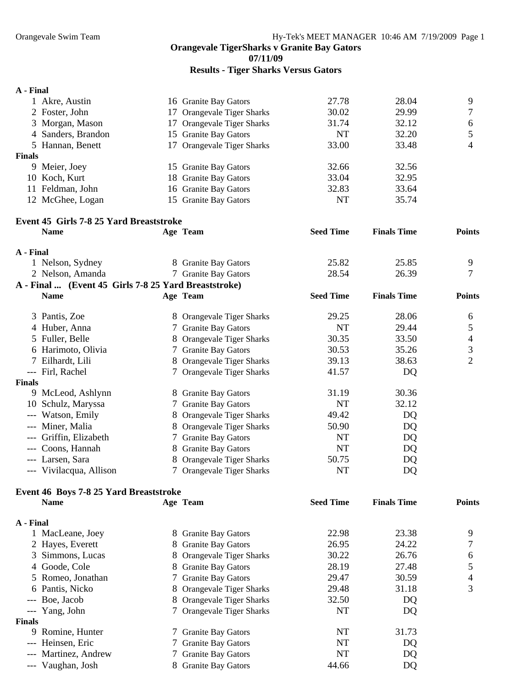**07/11/09** 

#### **Results - Tiger Sharks Versus Gators**

## **A - Final**  1 Akre, Austin 16 Granite Bay Gators 27.78 28.04 9 2 Foster, John 17 Orangevale Tiger Sharks 30.02 29.99 7 3 Morgan, Mason 17 Orangevale Tiger Sharks 31.74 32.12 6 4 Sanders, Brandon 15 Granite Bay Gators NT 32.20 5 5 Hannan, Benett 17 Orangevale Tiger Sharks 33.00 33.48 4 **Finals**  9 Meier, Joey 15 Granite Bay Gators 32.66 32.56 10 Koch, Kurt 18 Granite Bay Gators 33.04 32.95 11 Feldman, John 16 Granite Bay Gators 32.83 33.64 12 McGhee, Logan 15 Granite Bay Gators NT 35.74 **Event 45 Girls 7-8 25 Yard Breaststroke Name Age Team Seed Time Finals Time Points A - Final**  1 Nelson, Sydney 8 Granite Bay Gators 25.82 25.85 9 2 Nelson, Amanda 7 Granite Bay Gators 28.54 26.39 7 **A - Final ... (Event 45 Girls 7-8 25 Yard Breaststroke) Name Age Team Seed Time Finals Time Points**  3 Pantis, Zoe 8 Orangevale Tiger Sharks 29.25 28.06 6 4 Huber, Anna 7 Granite Bay Gators NT 29.44 5 5 Fuller, Belle 8 Orangevale Tiger Sharks 30.35 33.50 4 6 Harimoto, Olivia 7 Granite Bay Gators 30.53 35.26 3 7 Eilhardt, Lili 8 Orangevale Tiger Sharks 39.13 38.63 38.63 --- Firl, Rachel 7 Orangevale Tiger Sharks 41.57 DQ **Finals**  9 McLeod, Ashlynn 8 Granite Bay Gators 31.19 30.36 10 Schulz, Maryssa 7 Granite Bay Gators NT 32.12 --- Watson, Emily 8 Orangevale Tiger Sharks 49.42 DQ --- Miner, Malia 8 Orangevale Tiger Sharks 50.90 DQ --- Griffin, Elizabeth 7 Granite Bay Gators NT DQ --- Coons, Hannah 8 Granite Bay Gators NT DQ --- Larsen, Sara 8 Orangevale Tiger Sharks 50.75 DQ --- Vivilacqua, Allison 7 Orangevale Tiger Sharks NT DQ **Event 46 Boys 7-8 25 Yard Breaststroke Name Age Team Seed Time Finals Time Points A - Final**  1 MacLeane, Joey 8 Granite Bay Gators 22.98 23.38 9 2 Hayes, Everett 8 Granite Bay Gators 26.95 24.22 7 3 Simmons, Lucas 8 Orangevale Tiger Sharks 30.22 26.76 6 4 Goode, Cole 27.48 8 Granite Bay Gators 28.19 27.48 5 5 Romeo, Jonathan 2012 7 Granite Bay Gators 29.47 30.59 4 6 Pantis, Nicko 8 Orangevale Tiger Sharks 29.48 31.18 3 --- Boe, Jacob 8 Orangevale Tiger Sharks 32.50 DQ --- Yang, John 7 Orangevale Tiger Sharks NT DQ **Finals**  9 Romine, Hunter 7 Granite Bay Gators NT 31.73 --- Heinsen, Eric 7 Granite Bay Gators NT DQ --- Martinez, Andrew 7 Granite Bay Gators NT DQ

--- Vaughan, Josh 8 Granite Bay Gators 44.66 DQ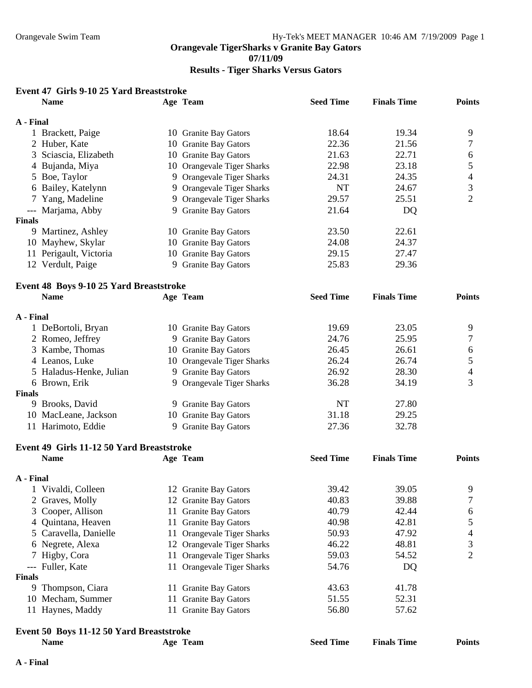# **Results - Tiger Sharks Versus Gators**

| Event 47 Girls 9-10 25 Yard Breaststroke |  |  |  |
|------------------------------------------|--|--|--|
|------------------------------------------|--|--|--|

|               | <b>Name</b>                               | Age Team                   | <b>Seed Time</b> | <b>Finals Time</b> | <b>Points</b>            |
|---------------|-------------------------------------------|----------------------------|------------------|--------------------|--------------------------|
| A - Final     |                                           |                            |                  |                    |                          |
|               | 1 Brackett, Paige                         | 10 Granite Bay Gators      | 18.64            | 19.34              | 9                        |
|               | 2 Huber, Kate                             | 10 Granite Bay Gators      | 22.36            | 21.56              | 7                        |
|               | 3 Sciascia, Elizabeth                     | 10 Granite Bay Gators      | 21.63            | 22.71              | 6                        |
|               | 4 Bujanda, Miya                           | 10 Orangevale Tiger Sharks | 22.98            | 23.18              | 5                        |
|               | 5 Boe, Taylor                             | 9 Orangevale Tiger Sharks  | 24.31            | 24.35              | 4                        |
|               | 6 Bailey, Katelynn                        | 9 Orangevale Tiger Sharks  | NT               | 24.67              | 3                        |
|               | 7 Yang, Madeline                          | 9 Orangevale Tiger Sharks  | 29.57            | 25.51              | $\overline{2}$           |
|               | --- Marjama, Abby                         | 9 Granite Bay Gators       | 21.64            | DQ                 |                          |
| <b>Finals</b> |                                           |                            |                  |                    |                          |
|               | 9 Martinez, Ashley                        | 10 Granite Bay Gators      | 23.50            | 22.61              |                          |
|               | 10 Mayhew, Skylar                         | 10 Granite Bay Gators      | 24.08            | 24.37              |                          |
|               | 11 Perigault, Victoria                    | 10 Granite Bay Gators      | 29.15            | 27.47              |                          |
|               | 12 Verdult, Paige                         | 9 Granite Bay Gators       | 25.83            | 29.36              |                          |
|               | Event 48 Boys 9-10 25 Yard Breaststroke   |                            |                  |                    |                          |
|               | <b>Name</b>                               | Age Team                   | <b>Seed Time</b> | <b>Finals Time</b> | <b>Points</b>            |
| A - Final     |                                           |                            |                  |                    |                          |
|               | 1 DeBortoli, Bryan                        | 10 Granite Bay Gators      | 19.69            | 23.05              | 9                        |
|               | 2 Romeo, Jeffrey                          | 9 Granite Bay Gators       | 24.76            | 25.95              | 7                        |
|               | 3 Kambe, Thomas                           | 10 Granite Bay Gators      | 26.45            | 26.61              | 6                        |
|               | 4 Leanos, Luke                            | 10 Orangevale Tiger Sharks | 26.24            | 26.74              | 5                        |
|               | 5 Haladus-Henke, Julian                   | 9 Granite Bay Gators       | 26.92            | 28.30              | $\overline{\mathcal{A}}$ |
|               | 6 Brown, Erik                             | 9 Orangevale Tiger Sharks  | 36.28            | 34.19              | 3                        |
| Finals        |                                           |                            |                  |                    |                          |
|               | 9 Brooks, David                           | 9 Granite Bay Gators       | NT               | 27.80              |                          |
|               | 10 MacLeane, Jackson                      | 10 Granite Bay Gators      | 31.18            | 29.25              |                          |
|               | 11 Harimoto, Eddie                        | 9 Granite Bay Gators       | 27.36            | 32.78              |                          |
|               | Event 49 Girls 11-12 50 Yard Breaststroke |                            |                  |                    |                          |
|               | <b>Name</b>                               | Age Team                   | <b>Seed Time</b> | <b>Finals Time</b> | <b>Points</b>            |
| A - Final     |                                           |                            |                  |                    |                          |
|               | Vivaldi, Colleen                          | 12 Granite Bay Gators      | 39.42            | 39.05              | 9                        |
|               | 2 Graves, Molly                           | 12 Granite Bay Gators      | 40.83            | 39.88              | 7                        |
| 3             | Cooper, Allison                           | 11 Granite Bay Gators      | 40.79            | 42.44              | 6                        |
| 4             | Quintana, Heaven                          | 11 Granite Bay Gators      | 40.98            | 42.81              | 5                        |
| 5             | Caravella, Danielle                       | 11 Orangevale Tiger Sharks | 50.93            | 47.92              | 4                        |
| 6             | Negrete, Alexa                            | 12 Orangevale Tiger Sharks | 46.22            | 48.81              | 3                        |
|               | Higby, Cora                               | 11 Orangevale Tiger Sharks | 59.03            | 54.52              | 2                        |
|               | --- Fuller, Kate                          | 11 Orangevale Tiger Sharks | 54.76            | DQ                 |                          |
| Finals        |                                           |                            |                  |                    |                          |
| 9             | Thompson, Ciara                           | 11 Granite Bay Gators      | 43.63            | 41.78              |                          |
|               | 10 Mecham, Summer                         | 11 Granite Bay Gators      | 51.55            | 52.31              |                          |
|               | 11 Haynes, Maddy                          | 11 Granite Bay Gators      | 56.80            | 57.62              |                          |
|               | Event 50 Boys 11-12 50 Yard Breaststroke  |                            |                  |                    |                          |
|               | <b>Name</b>                               | Age Team                   | <b>Seed Time</b> | <b>Finals Time</b> | <b>Points</b>            |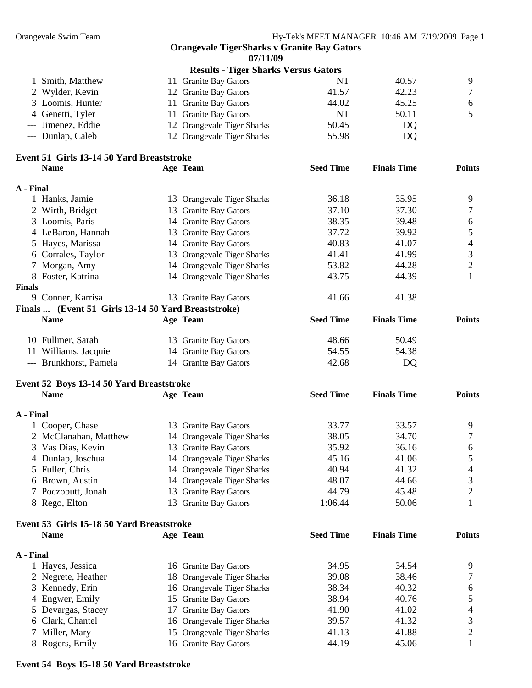**Orangevale TigerSharks v Granite Bay Gators 07/11/09 Results - Tiger Sharks Versus Gators Event 53 Girls 15-18 50 Yard Breaststroke Name Age Team Seed Time Finals Time Points A - Final**  1 Hayes, Jessica 16 Granite Bay Gators 34.95 34.54 9 2 Negrete, Heather 18 Orangevale Tiger Sharks 39.08 38.46 7 3 Kennedy, Erin 16 Orangevale Tiger Sharks 38.34 40.32 6 4 Engwer, Emily 15 Granite Bay Gators 38.94 40.76 5 5 Devargas, Stacey 17 Granite Bay Gators 41.90 41.02 4 6 Clark, Chantel 16 Orangevale Tiger Sharks 39.57 41.32 3 7 Miller, Mary **15 Orangevale Tiger Sharks** 41.13 41.88 2 8 Rogers, Emily 16 Granite Bay Gators 44.19 45.06 1 1 Smith, Matthew 11 Granite Bay Gators NT 40.57 9 2 Wylder, Kevin 12 Granite Bay Gators 41.57 42.23 7 3 Loomis, Hunter 11 Granite Bay Gators 44.02 45.25 6 4 Genetti, Tyler 11 Granite Bay Gators NT 50.11 5 --- Jimenez, Eddie 12 Orangevale Tiger Sharks 50.45 DQ --- Dunlap, Caleb 12 Orangevale Tiger Sharks 55.98 DQ **Event 51 Girls 13-14 50 Yard Breaststroke Name Age Team Seed Time Finals Time Points A - Final**  1 Hanks, Jamie 13 Orangevale Tiger Sharks 36.18 35.95 9 2 Wirth, Bridget 13 Granite Bay Gators 37.10 37.30 7 3 Loomis, Paris 14 Granite Bay Gators 38.35 39.48 6 4 LeBaron, Hannah 13 Granite Bay Gators 37.72 39.92 5 5 Hayes, Marissa 14 Granite Bay Gators 40.83 41.07 4<br>6 Corrales. Taylor 13 Orangevale Tiger Sharks 41.41 41.99 3 6 Corrales, Taylor 13 Orangevale Tiger Sharks 41.41 41.99 7 Morgan, Amy 14 Orangevale Tiger Sharks 53.82 44.28 2 8 Foster, Katrina 14 Orangevale Tiger Sharks 43.75 44.39 1 **Finals**  9 Conner, Karrisa 13 Granite Bay Gators 41.66 41.38 **Finals ... (Event 51 Girls 13-14 50 Yard Breaststroke) Name Age Team Seed Time Finals Time Points**  10 Fullmer, Sarah 13 Granite Bay Gators 48.66 50.49 11 Williams, Jacquie 14 Granite Bay Gators 54.55 54.38 --- Brunkhorst, Pamela 14 Granite Bay Gators 42.68 DQ **Event 52 Boys 13-14 50 Yard Breaststroke Name Age Team Seed Time Finals Time Points A - Final**  1 Cooper, Chase 13 Granite Bay Gators 33.77 33.57 9 2 McClanahan, Matthew 14 Orangevale Tiger Sharks 38.05 34.70 7 3 Vas Dias, Kevin 13 Granite Bay Gators 35.92 36.16 6 4 Dunlap, Joschua 14 Orangevale Tiger Sharks 45.16 41.06 5 5 Fuller, Chris 14 Orangevale Tiger Sharks 40.94 41.32 4 6 Brown, Austin 14 Orangevale Tiger Sharks 48.07 44.66 3 7 Poczobutt, Jonah 13 Granite Bay Gators 44.79 45.48 2 8 Rego, Elton 13 Granite Bay Gators 1:06.44 50.06 1

#### **Event 54 Boys 15-18 50 Yard Breaststroke**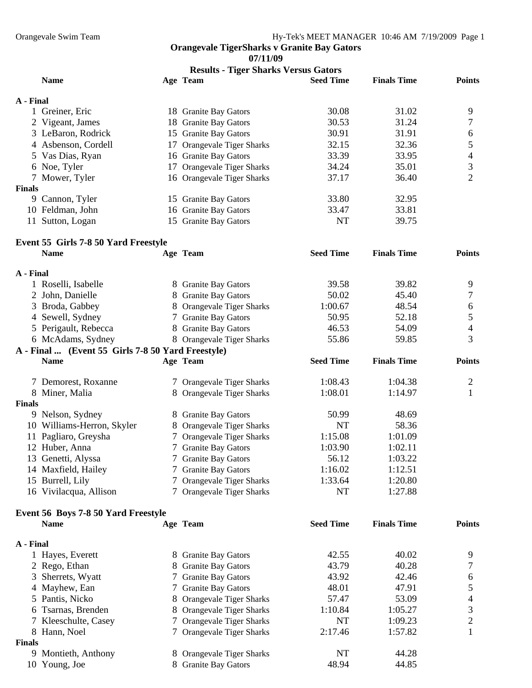**07/11/09** 

| <b>Results - Tiger Sharks Versus Gators</b> |                                                     |  |                                |                  |                    |                |
|---------------------------------------------|-----------------------------------------------------|--|--------------------------------|------------------|--------------------|----------------|
|                                             | <b>Name</b>                                         |  | Age Team                       | <b>Seed Time</b> | <b>Finals Time</b> | <b>Points</b>  |
| A - Final                                   |                                                     |  |                                |                  |                    |                |
|                                             | 1 Greiner, Eric                                     |  | 18 Granite Bay Gators          | 30.08            | 31.02              | 9              |
|                                             | 2 Vigeant, James                                    |  | 18 Granite Bay Gators          | 30.53            | 31.24              | 7              |
|                                             | 3 LeBaron, Rodrick                                  |  | 15 Granite Bay Gators          | 30.91            | 31.91              | 6              |
|                                             | 4 Asbenson, Cordell                                 |  | 17 Orangevale Tiger Sharks     | 32.15            | 32.36              | 5              |
|                                             | 5 Vas Dias, Ryan                                    |  | 16 Granite Bay Gators          | 33.39            | 33.95              | $\overline{4}$ |
|                                             | 6 Noe, Tyler                                        |  | 17 Orangevale Tiger Sharks     | 34.24            | 35.01              | 3              |
|                                             | 7 Mower, Tyler                                      |  | 16 Orangevale Tiger Sharks     | 37.17            | 36.40              | $\overline{2}$ |
| <b>Finals</b>                               |                                                     |  |                                |                  |                    |                |
|                                             | 9 Cannon, Tyler                                     |  | 15 Granite Bay Gators          | 33.80            | 32.95              |                |
|                                             | 10 Feldman, John                                    |  | 16 Granite Bay Gators          | 33.47            | 33.81              |                |
|                                             | 11 Sutton, Logan                                    |  | 15 Granite Bay Gators          | <b>NT</b>        | 39.75              |                |
|                                             |                                                     |  |                                |                  |                    |                |
|                                             | Event 55 Girls 7-8 50 Yard Freestyle<br><b>Name</b> |  | Age Team                       | <b>Seed Time</b> | <b>Finals Time</b> | <b>Points</b>  |
|                                             |                                                     |  |                                |                  |                    |                |
| A - Final                                   |                                                     |  |                                |                  |                    |                |
|                                             | 1 Roselli, Isabelle                                 |  | 8 Granite Bay Gators           | 39.58            | 39.82              | 9              |
|                                             | 2 John, Danielle                                    |  | 8 Granite Bay Gators           | 50.02            | 45.40              | 7              |
|                                             | 3 Broda, Gabbey                                     |  | 8 Orangevale Tiger Sharks      | 1:00.67          | 48.54              | 6              |
|                                             | 4 Sewell, Sydney                                    |  | 7 Granite Bay Gators           | 50.95            | 52.18              | 5              |
|                                             | 5 Perigault, Rebecca                                |  | 8 Granite Bay Gators           | 46.53            | 54.09              | $\overline{4}$ |
|                                             | 6 McAdams, Sydney                                   |  | 8 Orangevale Tiger Sharks      | 55.86            | 59.85              | 3              |
|                                             | A - Final  (Event 55 Girls 7-8 50 Yard Freestyle)   |  |                                |                  |                    |                |
|                                             | <b>Name</b>                                         |  | Age Team                       | <b>Seed Time</b> | <b>Finals Time</b> | <b>Points</b>  |
|                                             | 7 Demorest, Roxanne                                 |  | 7 Orangevale Tiger Sharks      | 1:08.43          | 1:04.38            | 2              |
|                                             | 8 Miner, Malia                                      |  | 8 Orangevale Tiger Sharks      | 1:08.01          | 1:14.97            | $\mathbf{1}$   |
| <b>Finals</b>                               |                                                     |  |                                |                  |                    |                |
|                                             | 9 Nelson, Sydney                                    |  | 8 Granite Bay Gators           | 50.99            | 48.69              |                |
|                                             | 10 Williams-Herron, Skyler                          |  | 8 Orangevale Tiger Sharks      | NT               | 58.36              |                |
|                                             | 11 Pagliaro, Greysha                                |  | 7 Orangevale Tiger Sharks      | 1:15.08          | 1:01.09            |                |
|                                             | 12 Huber, Anna                                      |  | 7 Granite Bay Gators           | 1:03.90          | 1:02.11            |                |
|                                             | 13 Genetti, Alyssa                                  |  | 7 Granite Bay Gators           | 56.12            | 1:03.22            |                |
|                                             | 14 Maxfield, Hailey                                 |  | 7 Granite Bay Gators           | 1:16.02          | 1:12.51            |                |
|                                             | 15 Burrell, Lily                                    |  | 7 Orangevale Tiger Sharks      | 1:33.64          | 1:20.80            |                |
|                                             | 16 Vivilacqua, Allison                              |  | 7 Orangevale Tiger Sharks      | <b>NT</b>        | 1:27.88            |                |
|                                             |                                                     |  |                                |                  |                    |                |
|                                             | Event 56 Boys 7-8 50 Yard Freestyle                 |  |                                | <b>Seed Time</b> | <b>Finals Time</b> | <b>Points</b>  |
|                                             | <b>Name</b>                                         |  | Age Team                       |                  |                    |                |
| A - Final                                   |                                                     |  |                                |                  |                    |                |
|                                             | 1 Hayes, Everett                                    |  | 8 Granite Bay Gators           | 42.55            | 40.02              | 9              |
|                                             | 2 Rego, Ethan                                       |  | 8 Granite Bay Gators           | 43.79            | 40.28              | 7              |
|                                             | 3 Sherrets, Wyatt                                   |  | 7 Granite Bay Gators           | 43.92            | 42.46              | 6              |
|                                             | 4 Mayhew, Ean                                       |  | 7 Granite Bay Gators           | 48.01            | 47.91              | 5              |
|                                             | 5 Pantis, Nicko                                     |  | 8 Orangevale Tiger Sharks      | 57.47            | 53.09              | $\overline{4}$ |
|                                             | 6 Tsarnas, Brenden                                  |  | 8 Orangevale Tiger Sharks      | 1:10.84          | 1:05.27            | 3              |
|                                             | 7 Kleeschulte, Casey                                |  | <b>Orangevale Tiger Sharks</b> | NT               | 1:09.23            | $\overline{c}$ |
|                                             | 8 Hann, Noel                                        |  | 7 Orangevale Tiger Sharks      | 2:17.46          | 1:57.82            | 1              |
| <b>Finals</b>                               |                                                     |  |                                |                  |                    |                |
|                                             | 9 Montieth, Anthony                                 |  | 8 Orangevale Tiger Sharks      | NT               | 44.28              |                |
|                                             | 10 Young, Joe                                       |  | 8 Granite Bay Gators           | 48.94            | 44.85              |                |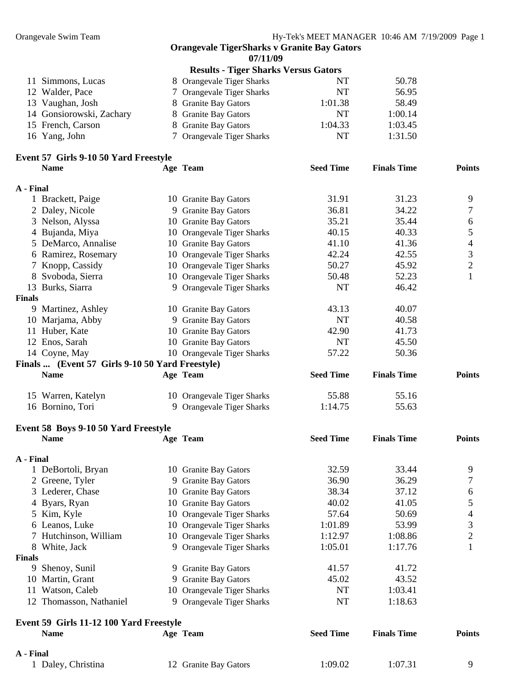**07/11/09** 

| 8 Orangevale Tiger Sharks                                                                                                  | NT      | 50.78                                       |
|----------------------------------------------------------------------------------------------------------------------------|---------|---------------------------------------------|
| 7 Orangevale Tiger Sharks                                                                                                  | NT      | 56.95                                       |
| 8 Granite Bay Gators                                                                                                       | 1:01.38 | 58.49                                       |
| 8 Granite Bay Gators                                                                                                       | NT      | 1:00.14                                     |
| 8 Granite Bay Gators                                                                                                       | 1:04.33 | 1:03.45                                     |
| 7 Orangevale Tiger Sharks                                                                                                  | NT      | 1:31.50                                     |
| 11 Simmons, Lucas<br>12 Walder, Pace<br>13 Vaughan, Josh<br>14 Gonsiorowski, Zachary<br>15 French, Carson<br>16 Yang, John |         | <b>Results - Tiger Sharks Versus Gators</b> |

#### **Event 57 Girls 9-10 50 Yard Freestyle Name Age Team Seed Time Finals Time Points**

|               | Event 58 Boys 9-10 50 Yard Freestyle            |    |                            |                  |                    |               |
|---------------|-------------------------------------------------|----|----------------------------|------------------|--------------------|---------------|
|               | 16 Bornino, Tori                                |    | 9 Orangevale Tiger Sharks  | 1:14.75          | 55.63              |               |
|               | 15 Warren, Katelyn                              |    | 10 Orangevale Tiger Sharks | 55.88            | 55.16              |               |
|               | <b>Name</b>                                     |    | Age Team                   | <b>Seed Time</b> | <b>Finals Time</b> | <b>Points</b> |
|               | Finals  (Event 57 Girls 9-10 50 Yard Freestyle) |    |                            |                  |                    |               |
|               | 14 Coyne, May                                   |    | 10 Orangevale Tiger Sharks | 57.22            | 50.36              |               |
|               | 12 Enos, Sarah                                  | 10 | <b>Granite Bay Gators</b>  | <b>NT</b>        | 45.50              |               |
|               | 11 Huber, Kate                                  | 10 | <b>Granite Bay Gators</b>  | 42.90            | 41.73              |               |
|               | 10 Marjama, Abby                                |    | 9 Granite Bay Gators       | <b>NT</b>        | 40.58              |               |
| 9             | Martinez, Ashley                                |    | 10 Granite Bay Gators      | 43.13            | 40.07              |               |
| <b>Finals</b> |                                                 |    |                            |                  |                    |               |
| 13            | Burks, Siarra                                   |    | 9 Orangevale Tiger Sharks  | NT               | 46.42              |               |
| 8             | Svoboda, Sierra                                 |    | 10 Orangevale Tiger Sharks | 50.48            | 52.23              |               |
|               | 7 Knopp, Cassidy                                |    | 10 Orangevale Tiger Sharks | 50.27            | 45.92              | 2             |
|               | 6 Ramirez, Rosemary                             | 10 | Orangevale Tiger Sharks    | 42.24            | 42.55              | 3             |
|               | 5 DeMarco, Annalise                             |    | 10 Granite Bay Gators      | 41.10            | 41.36              | 4             |
|               | 4 Bujanda, Miya                                 |    | 10 Orangevale Tiger Sharks | 40.15            | 40.33              | 5             |
|               | 3 Nelson, Alyssa                                | 10 | <b>Granite Bay Gators</b>  | 35.21            | 35.44              | 6             |
|               | 2 Daley, Nicole                                 |    | 9 Granite Bay Gators       | 36.81            |                    |               |
|               | 1 Brackett, Paige                               |    | 10 Granite Bay Gators      |                  | 34.22              | 7             |
|               |                                                 |    |                            | 31.91            | 31.23              | 9             |
| A - Final     |                                                 |    |                            |                  |                    |               |

|               | <b>Name</b>                             | Age Team                   | <b>Seed Time</b> | <b>Finals Time</b> | <b>Points</b>  |
|---------------|-----------------------------------------|----------------------------|------------------|--------------------|----------------|
| A - Final     |                                         |                            |                  |                    |                |
|               | 1 DeBortoli, Bryan                      | 10 Granite Bay Gators      | 32.59            | 33.44              | 9              |
|               | 2 Greene, Tyler                         | 9 Granite Bay Gators       | 36.90            | 36.29              | 7              |
|               | 3 Lederer, Chase                        | 10 Granite Bay Gators      | 38.34            | 37.12              | 6              |
|               | 4 Byars, Ryan                           | 10 Granite Bay Gators      | 40.02            | 41.05              | 5              |
|               | 5 Kim, Kyle                             | 10 Orangevale Tiger Sharks | 57.64            | 50.69              | 4              |
|               | 6 Leanos, Luke                          | 10 Orangevale Tiger Sharks | 1:01.89          | 53.99              | 3              |
|               | 7 Hutchinson, William                   | 10 Orangevale Tiger Sharks | 1:12.97          | 1:08.86            | $\overline{2}$ |
|               | 8 White, Jack                           | 9 Orangevale Tiger Sharks  | 1:05.01          | 1:17.76            |                |
| <b>Finals</b> |                                         |                            |                  |                    |                |
| 9             | Shenoy, Sunil                           | 9 Granite Bay Gators       | 41.57            | 41.72              |                |
|               | 10 Martin, Grant                        | 9 Granite Bay Gators       | 45.02            | 43.52              |                |
|               | 11 Watson, Caleb                        | 10 Orangevale Tiger Sharks | NT               | 1:03.41            |                |
| 12            | Thomasson, Nathaniel                    | 9 Orangevale Tiger Sharks  | NT               | 1:18.63            |                |
|               | Event 59 Girls 11-12 100 Yard Freestyle |                            |                  |                    |                |
|               | <b>Name</b>                             | Age Team                   | <b>Seed Time</b> | <b>Finals Time</b> | <b>Points</b>  |
| A - Final     |                                         |                            |                  |                    |                |
|               | 1 Daley, Christina                      | 12 Granite Bay Gators      | 1:09.02          | 1:07.31            | 9              |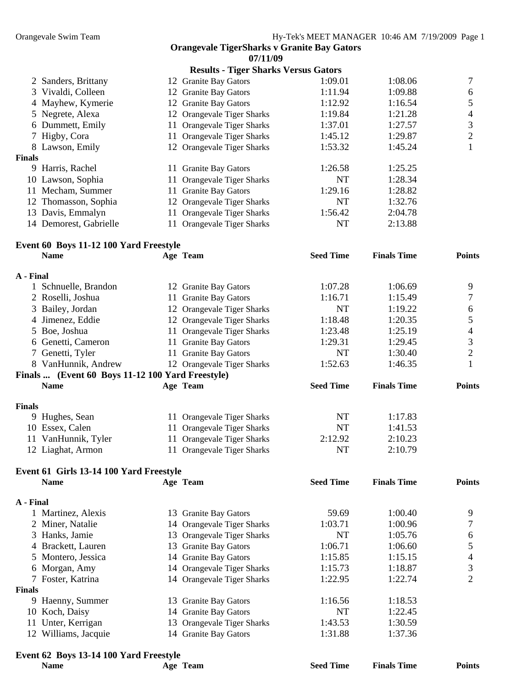| <b>Orangevale TigerSharks v Granite Bay Gators</b> |  |  |  |  |  |
|----------------------------------------------------|--|--|--|--|--|
| 07/11/09                                           |  |  |  |  |  |

|                         |                                        | <b>Results - Tiger Sharks Versus Gators</b> |                  |                    |               |
|-------------------------|----------------------------------------|---------------------------------------------|------------------|--------------------|---------------|
|                         | 2 Sanders, Brittany                    | 12 Granite Bay Gators                       | 1:09.01          | 1:08.06            |               |
|                         | 3 Vivaldi, Colleen                     | 12 Granite Bay Gators                       | 1:11.94          | 1:09.88            | 6             |
|                         | 4 Mayhew, Kymerie                      | 12 Granite Bay Gators                       | 1:12.92          | 1:16.54            |               |
|                         | 5 Negrete, Alexa                       | 12 Orangevale Tiger Sharks                  | 1:19.84          | 1:21.28            | 4             |
|                         | 6 Dummett, Emily                       | 11 Orangevale Tiger Sharks                  | 1:37.01          | 1:27.57            | 3             |
|                         | 7 Higby, Cora                          | 11 Orangevale Tiger Sharks                  | 1:45.12          | 1:29.87            | 2             |
|                         | 8 Lawson, Emily                        | 12 Orangevale Tiger Sharks                  | 1:53.32          | 1:45.24            |               |
| <b>Finals</b>           |                                        |                                             |                  |                    |               |
|                         | 9 Harris, Rachel                       | 11 Granite Bay Gators                       | 1:26.58          | 1:25.25            |               |
|                         | 10 Lawson, Sophia                      | 11 Orangevale Tiger Sharks                  | <b>NT</b>        | 1:28.34            |               |
|                         | 11 Mecham, Summer                      | 11 Granite Bay Gators                       | 1:29.16          | 1:28.82            |               |
|                         | 12 Thomasson, Sophia                   | 12 Orangevale Tiger Sharks                  | NT               | 1:32.76            |               |
|                         | 13 Davis, Emmalyn                      | 11 Orangevale Tiger Sharks                  | 1:56.42          | 2:04.78            |               |
|                         | 14 Demorest, Gabrielle                 | 11 Orangevale Tiger Sharks                  | NT               | 2:13.88            |               |
|                         | Event 60 Boys 11-12 100 Yard Freestyle |                                             |                  |                    |               |
|                         | <b>Name</b>                            | Age Team                                    | <b>Seed Time</b> | <b>Finals Time</b> | <b>Points</b> |
| $\lambda$ and $\lambda$ |                                        |                                             |                  |                    |               |

| A - Final     |                                                  |                            |                  |                    |               |
|---------------|--------------------------------------------------|----------------------------|------------------|--------------------|---------------|
|               | 1 Schnuelle, Brandon                             | 12 Granite Bay Gators      | 1:07.28          | 1:06.69            | 9             |
|               | 2 Roselli, Joshua                                | 11 Granite Bay Gators      | 1:16.71          | 1:15.49            |               |
|               | 3 Bailey, Jordan                                 | 12 Orangevale Tiger Sharks | <b>NT</b>        | 1:19.22            | 6             |
|               | 4 Jimenez, Eddie                                 | 12 Orangevale Tiger Sharks | 1:18.48          | 1:20.35            |               |
|               | 5 Boe, Joshua                                    | 11 Orangevale Tiger Sharks | 1:23.48          | 1:25.19            | 4             |
|               | 6 Genetti, Cameron                               | 11 Granite Bay Gators      | 1:29.31          | 1:29.45            | 3             |
|               | 7 Genetti, Tyler                                 | 11 Granite Bay Gators      | NT               | 1:30.40            | 2             |
|               | 8 VanHunnik, Andrew                              | 12 Orangevale Tiger Sharks | 1:52.63          | 1:46.35            |               |
|               | Finals  (Event 60 Boys 11-12 100 Yard Freestyle) |                            |                  |                    |               |
|               | <b>Name</b>                                      | Age Team                   | <b>Seed Time</b> | <b>Finals Time</b> | <b>Points</b> |
| <b>Finals</b> |                                                  |                            |                  |                    |               |
|               | 9 Hughes, Sean                                   | 11 Orangevale Tiger Sharks | NT               | 1:17.83            |               |
|               | 10 Essex, Calen                                  | 11 Orangevale Tiger Sharks | NT               | 1:41.53            |               |
|               |                                                  |                            |                  |                    |               |

| -----------------   |                            |         | .       |
|---------------------|----------------------------|---------|---------|
| 11 VanHunnik, Tyler | 11 Orangevale Tiger Sharks | 2:12.92 | 2:10.23 |
| 12 Liaghat, Armon   | 11 Orangevale Tiger Sharks | NT      | 2:10.79 |
|                     |                            |         |         |

| Event 61 Girls 13-14 100 Yard Freestyle |                    |    |                                |                  |                    |               |
|-----------------------------------------|--------------------|----|--------------------------------|------------------|--------------------|---------------|
|                                         | <b>Name</b>        |    | Age Team                       | <b>Seed Time</b> | <b>Finals Time</b> | <b>Points</b> |
| A - Final                               |                    |    |                                |                  |                    |               |
|                                         | 1 Martinez, Alexis | 13 | <b>Granite Bay Gators</b>      | 59.69            | 1:00.40            | 9             |
|                                         | 2 Miner, Natalie   |    | 14 Orangevale Tiger Sharks     | 1:03.71          | 1:00.96            |               |
|                                         | 3 Hanks, Jamie     |    | 13 Orangevale Tiger Sharks     | NT               | 1:05.76            | 6             |
|                                         | 4 Brackett, Lauren |    | 13 Granite Bay Gators          | 1:06.71          | 1:06.60            |               |
|                                         | 5 Montero, Jessica |    | 14 Granite Bay Gators          | 1:15.85          | 1:15.15            | 4             |
|                                         | 6 Morgan, Amy      |    | 14 Orangevale Tiger Sharks     | 1:15.73          | 1:18.87            | 3             |
|                                         | 7 Foster, Katrina  |    | 14 Orangevale Tiger Sharks     | 1:22.95          | 1:22.74            | 2             |
| <b>Finals</b>                           |                    |    |                                |                  |                    |               |
|                                         | 9 Haenny, Summer   |    | 13 Granite Bay Gators          | 1:16.56          | 1:18.53            |               |
|                                         | 10 Koch, Daisy     |    | 14 Granite Bay Gators          | NT               | 1:22.45            |               |
| 11                                      | Unter, Kerrigan    | 13 | <b>Orangevale Tiger Sharks</b> | 1:43.53          | 1:30.59            |               |
| 12                                      | Williams, Jacquie  |    | 14 Granite Bay Gators          | 1:31.88          | 1:37.36            |               |

## **Event 62 Boys 13-14 100 Yard Freestyle**

| $L$ <sup>t</sup> $\sim$ $L$ <sup><math>\sim</math></sup> $L$ <sup><math>\sim</math></sup> $L$ <sup><math>\sim</math></sup> $L$ $\sim$ $L$ $\sim$ $L$ $\sim$ $L$ $\sim$ $L$ $\sim$ $L$ $\sim$ |          |                  |                    |               |
|----------------------------------------------------------------------------------------------------------------------------------------------------------------------------------------------|----------|------------------|--------------------|---------------|
| <b>Name</b>                                                                                                                                                                                  | Age Team | <b>Seed Time</b> | <b>Finals Time</b> | <b>Points</b> |
|                                                                                                                                                                                              |          |                  |                    |               |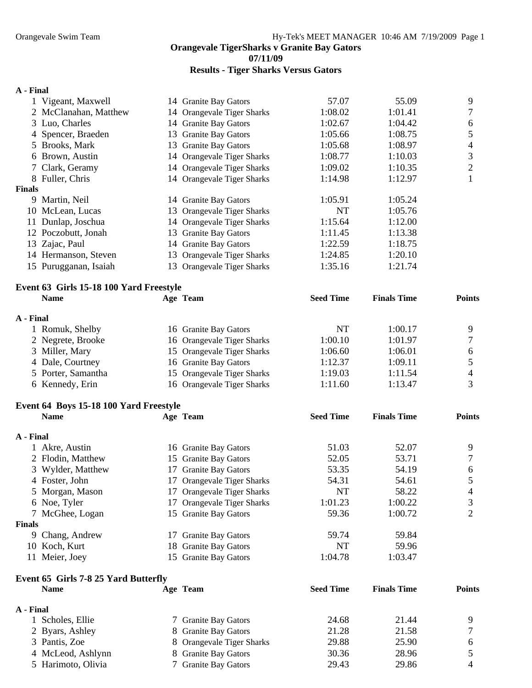**07/11/09** 

## **Results - Tiger Sharks Versus Gators**

#### **A - Final**

|           | 1 Vigeant, Maxwell                          | 14 Granite Bay Gators      | 57.07            | 55.09              | 9              |
|-----------|---------------------------------------------|----------------------------|------------------|--------------------|----------------|
|           | 2 McClanahan, Matthew                       | 14 Orangevale Tiger Sharks | 1:08.02          | 1:01.41            | 7              |
|           | 3 Luo, Charles                              | 14 Granite Bay Gators      | 1:02.67          | 1:04.42            | 6              |
|           | 4 Spencer, Braeden                          | 13 Granite Bay Gators      | 1:05.66          | 1:08.75            | 5              |
|           | 5 Brooks, Mark                              | 13 Granite Bay Gators      | 1:05.68          | 1:08.97            | $\overline{4}$ |
|           | 6 Brown, Austin                             | 14 Orangevale Tiger Sharks | 1:08.77          | 1:10.03            | 3              |
|           | 7 Clark, Geramy                             | 14 Orangevale Tiger Sharks | 1:09.02          | 1:10.35            | $\sqrt{2}$     |
|           | 8 Fuller, Chris                             | 14 Orangevale Tiger Sharks | 1:14.98          | 1:12.97            | $\mathbf{1}$   |
| Finals    |                                             |                            |                  |                    |                |
|           | 9 Martin, Neil                              | 14 Granite Bay Gators      | 1:05.91          | 1:05.24            |                |
|           | 10 McLean, Lucas                            | 13 Orangevale Tiger Sharks | NT               | 1:05.76            |                |
|           | 11 Dunlap, Joschua                          | 14 Orangevale Tiger Sharks | 1:15.64          | 1:12.00            |                |
|           | 12 Poczobutt, Jonah                         | 13 Granite Bay Gators      | 1:11.45          | 1:13.38            |                |
|           | 13 Zajac, Paul                              | 14 Granite Bay Gators      | 1:22.59          | 1:18.75            |                |
|           | 14 Hermanson, Steven                        | 13 Orangevale Tiger Sharks | 1:24.85          | 1:20.10            |                |
|           | 15 Purugganan, Isaiah                       | 13 Orangevale Tiger Sharks | 1:35.16          | 1:21.74            |                |
|           | Event 63 Girls 15-18 100 Yard Freestyle     |                            |                  |                    |                |
|           | <b>Name</b>                                 | Age Team                   | <b>Seed Time</b> | <b>Finals Time</b> | <b>Points</b>  |
| A - Final |                                             |                            |                  |                    |                |
|           | 1 Romuk, Shelby                             | 16 Granite Bay Gators      | <b>NT</b>        | 1:00.17            | 9              |
|           | 2 Negrete, Brooke                           | 16 Orangevale Tiger Sharks | 1:00.10          | 1:01.97            | 7              |
|           | 3 Miller, Mary                              | 15 Orangevale Tiger Sharks | 1:06.60          | 1:06.01            | 6              |
|           | 4 Dale, Courtney                            | 16 Granite Bay Gators      | 1:12.37          | 1:09.11            | 5              |
|           | 5 Porter, Samantha                          | 15 Orangevale Tiger Sharks | 1:19.03          | 1:11.54            | 4              |
|           | 6 Kennedy, Erin                             | 16 Orangevale Tiger Sharks | 1:11.60          | 1:13.47            | 3              |
|           | Event 64 Boys 15-18 100 Yard Freestyle      |                            |                  |                    |                |
|           | <b>Name</b>                                 | Age Team                   | <b>Seed Time</b> | <b>Finals Time</b> | <b>Points</b>  |
| A - Final |                                             |                            |                  |                    |                |
|           | 1 Akre, Austin                              | 16 Granite Bay Gators      | 51.03            | 52.07              | 9              |
|           | 2 Flodin, Matthew                           | 15 Granite Bay Gators      | 52.05            | 53.71              | $\tau$         |
|           | 3 Wylder, Matthew                           | 17 Granite Bay Gators      | 53.35            | 54.19              | 6              |
|           | 4 Foster, John                              | 17 Orangevale Tiger Sharks | 54.31            | 54.61              | 5              |
|           | 5 Morgan, Mason                             | 17 Orangevale Tiger Sharks | NT               | 58.22              | 4              |
|           | 6 Noe, Tyler                                | 17 Orangevale Tiger Sharks | 1:01.23          | 1:00.22            | 3              |
|           | 7 McGhee, Logan                             | 15 Granite Bay Gators      | 59.36            | 1:00.72            | $\overline{2}$ |
| Finals    |                                             |                            |                  |                    |                |
|           | 9 Chang, Andrew                             | 17 Granite Bay Gators      | 59.74            | 59.84              |                |
|           | 10 Koch, Kurt                               | 18 Granite Bay Gators      | NT               | 59.96              |                |
|           | 11 Meier, Joey                              | 15 Granite Bay Gators      | 1:04.78          | 1:03.47            |                |
|           | <b>Event 65 Girls 7-8 25 Yard Butterfly</b> |                            |                  |                    |                |

| <b>Name</b>        | Age Team                  | <b>Seed Time</b> | <b>Finals Time</b> | <b>Points</b> |
|--------------------|---------------------------|------------------|--------------------|---------------|
| A - Final          |                           |                  |                    |               |
| 1 Scholes, Ellie   | 7 Granite Bay Gators      | 24.68            | 21.44              |               |
| 2 Byars, Ashley    | 8 Granite Bay Gators      | 21.28            | 21.58              |               |
| 3 Pantis, Zoe      | 8 Orangevale Tiger Sharks | 29.88            | 25.90              | 6             |
| 4 McLeod, Ashlynn  | 8 Granite Bay Gators      | 30.36            | 28.96              |               |
| 5 Harimoto, Olivia | 7 Granite Bay Gators      | 29.43            | 29.86              |               |
|                    |                           |                  |                    |               |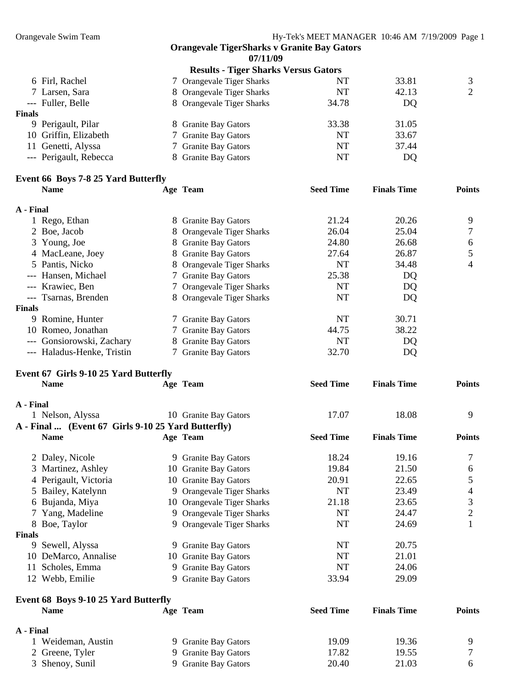**07/11/09** 

| <b>Results - Tiger Sharks Versus Gators</b> |                           |           |       |   |  |
|---------------------------------------------|---------------------------|-----------|-------|---|--|
| 6 Firl, Rachel                              | 7 Orangevale Tiger Sharks | NT        | 33.81 | 3 |  |
| 7 Larsen, Sara                              | 8 Orangevale Tiger Sharks | NT        | 42.13 | 2 |  |
| --- Fuller, Belle                           | 8 Orangevale Tiger Sharks | 34.78     | DQ    |   |  |
| <b>Finals</b>                               |                           |           |       |   |  |
| 9 Perigault, Pilar                          | 8 Granite Bay Gators      | 33.38     | 31.05 |   |  |
| 10 Griffin, Elizabeth                       | 7 Granite Bay Gators      | <b>NT</b> | 33.67 |   |  |
| 11 Genetti, Alyssa                          | 7 Granite Bay Gators      | NT        | 37.44 |   |  |
| --- Perigault, Rebecca                      | 8 Granite Bay Gators      | NT        | DQ    |   |  |
|                                             |                           |           |       |   |  |

#### **Event 66 Boys 7-8 25 Yard Butterfly**

|           | <b>Name</b>                | Age Team                  | <b>Seed Time</b> | <b>Finals Time</b> | <b>Points</b> |
|-----------|----------------------------|---------------------------|------------------|--------------------|---------------|
| A - Final |                            |                           |                  |                    |               |
|           | 1 Rego, Ethan              | 8 Granite Bay Gators      | 21.24            | 20.26              | 9             |
|           | 2 Boe, Jacob               | 8 Orangevale Tiger Sharks | 26.04            | 25.04              |               |
|           | 3 Young, Joe               | 8 Granite Bay Gators      | 24.80            | 26.68              | 6             |
|           | 4 MacLeane, Joey           | 8 Granite Bay Gators      | 27.64            | 26.87              |               |
|           | 5 Pantis, Nicko            | 8 Orangevale Tiger Sharks | NT               | 34.48              | 4             |
|           | --- Hansen, Michael        | 7 Granite Bay Gators      | 25.38            | DQ                 |               |
|           | --- Krawiec, Ben           | 7 Orangevale Tiger Sharks | NT               | DQ                 |               |
|           | --- Tsarnas, Brenden       | 8 Orangevale Tiger Sharks | NT               | DQ                 |               |
| Finals    |                            |                           |                  |                    |               |
|           | 9 Romine, Hunter           | 7 Granite Bay Gators      | NT               | 30.71              |               |
|           | 10 Romeo, Jonathan         | 7 Granite Bay Gators      | 44.75            | 38.22              |               |
|           | --- Gonsiorowski, Zachary  | 8 Granite Bay Gators      | NT               | DQ                 |               |
|           | --- Haladus-Henke, Tristin | 7 Granite Bay Gators      | 32.70            | DQ                 |               |

#### **Event 67 Girls 9-10 25 Yard Butterfly**

|               | <b>Name</b>                                        |   | Age Team                       | <b>Seed Time</b> | <b>Finals Time</b> | <b>Points</b>  |
|---------------|----------------------------------------------------|---|--------------------------------|------------------|--------------------|----------------|
| A - Final     |                                                    |   |                                |                  |                    |                |
|               | 1 Nelson, Alyssa                                   |   | 10 Granite Bay Gators          | 17.07            | 18.08              | 9              |
|               | A - Final  (Event 67 Girls 9-10 25 Yard Butterfly) |   |                                |                  |                    |                |
|               | <b>Name</b>                                        |   | Age Team                       | <b>Seed Time</b> | <b>Finals Time</b> | <b>Points</b>  |
|               | 2 Daley, Nicole                                    |   | 9 Granite Bay Gators           | 18.24            | 19.16              |                |
|               | 3 Martinez, Ashley                                 |   | 10 Granite Bay Gators          | 19.84            | 21.50              | 6              |
|               | 4 Perigault, Victoria                              |   | 10 Granite Bay Gators          | 20.91            | 22.65              | 5              |
|               | 5 Bailey, Katelynn                                 |   | 9 Orangevale Tiger Sharks      | <b>NT</b>        | 23.49              | $\overline{4}$ |
|               | 6 Bujanda, Miya                                    |   | 10 Orangevale Tiger Sharks     | 21.18            | 23.65              | 3              |
| 7             | Yang, Madeline                                     | 9 | <b>Orangevale Tiger Sharks</b> | NT               | 24.47              | $\mathbf{2}$   |
|               | 8 Boe, Taylor                                      |   | 9 Orangevale Tiger Sharks      | NT               | 24.69              |                |
| <b>Finals</b> |                                                    |   |                                |                  |                    |                |
| 9.            | Sewell, Alyssa                                     |   | 9 Granite Bay Gators           | NT               | 20.75              |                |
|               | 10 DeMarco, Annalise                               |   | 10 Granite Bay Gators          | NT               | 21.01              |                |
| 11            | Scholes, Emma                                      | 9 | <b>Granite Bay Gators</b>      | NT               | 24.06              |                |
|               | 12 Webb, Emilie                                    | 9 | <b>Granite Bay Gators</b>      | 33.94            | 29.09              |                |
|               | Event 68 Boys 9-10 25 Yard Butterfly               |   |                                |                  |                    |                |
|               | <b>Name</b>                                        |   | Age Team                       | <b>Seed Time</b> | <b>Finals Time</b> | <b>Points</b>  |
| A - Final     |                                                    |   |                                |                  |                    |                |
|               | 1 Weideman, Austin                                 | 9 | <b>Granite Bay Gators</b>      | 19.09            | 19.36              | 9              |
|               | 2 Greene, Tyler                                    | 9 | <b>Granite Bay Gators</b>      | 17.82            | 19.55              | 7              |
|               | 3 Shenoy, Sunil                                    | 9 | <b>Granite Bay Gators</b>      | 20.40            | 21.03              | 6              |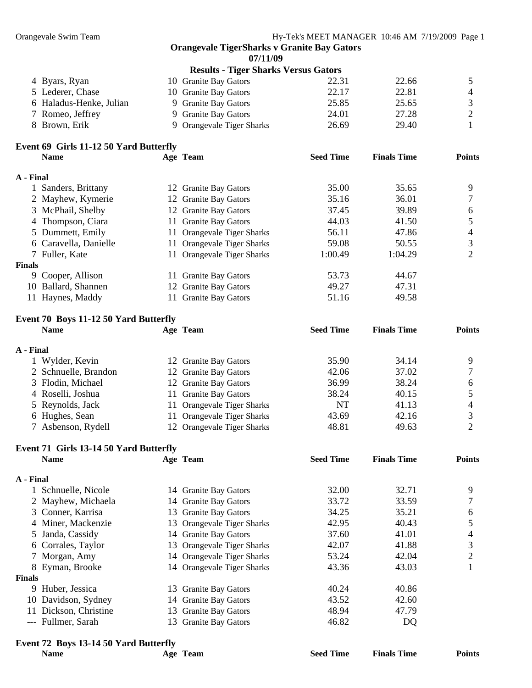**07/11/09** 

|                                        |     | <b>Results - Tiger Sharks Versus Gators</b> |                  |                    |               |
|----------------------------------------|-----|---------------------------------------------|------------------|--------------------|---------------|
| 4 Byars, Ryan                          |     | 10 Granite Bay Gators                       | 22.31            | 22.66              | 5             |
| 5 Lederer, Chase                       |     | 10 Granite Bay Gators                       | 22.17            | 22.81              | 4             |
| 6 Haladus-Henke, Julian                |     | 9 Granite Bay Gators                        | 25.85            | 25.65              | 3             |
| 7 Romeo, Jeffrey                       |     | 9 Granite Bay Gators                        | 24.01            | 27.28              | 2             |
| 8 Brown, Erik                          | 9.  | <b>Orangevale Tiger Sharks</b>              | 26.69            | 29.40              |               |
| Event 69 Girls 11-12 50 Yard Butterfly |     |                                             |                  |                    |               |
| <b>Name</b>                            |     | Age Team                                    | <b>Seed Time</b> | <b>Finals Time</b> | <b>Points</b> |
| A - Final                              |     |                                             |                  |                    |               |
| 1 Sanders, Brittany                    |     | 12 Granite Bay Gators                       | 35.00            | 35.65              | 9             |
| 2 Mayhew, Kymerie                      |     | 12 Granite Bay Gators                       | 35.16            | 36.01              |               |
| 3 McPhail, Shelby                      |     | 12 Granite Bay Gators                       | 37.45            | 39.89              | 6             |
| 4 Thompson, Ciara                      |     | 11 Granite Bay Gators                       | 44.03            | 41.50              |               |
| 5 Dummett, Emily                       | 11. | <b>Orangevale Tiger Sharks</b>              | 56.11            | 47.86              | 4             |
| 6 Caravella, Danielle                  | 11. | <b>Orangevale Tiger Sharks</b>              | 59.08            | 50.55              | 3             |
| 7 Fuller, Kate                         |     | 11 Orangevale Tiger Sharks                  | 1:00.49          | 1:04.29            | 2             |

#### **Finals**

| 9 Cooper, Allison   | 11 Granite Bay Gators | 53.73 | 44.67 |  |
|---------------------|-----------------------|-------|-------|--|
| 10 Ballard, Shannen | 12 Granite Bay Gators | 49.27 | 47.31 |  |
| 11 Haynes, Maddy    | 11 Granite Bay Gators | 51.16 | 49.58 |  |

#### **Event 70 Boys 11-12 50 Yard Butterfly**

| <b>Name</b>          | Age Team                   | <b>Seed Time</b> | <b>Finals Time</b> | <b>Points</b> |
|----------------------|----------------------------|------------------|--------------------|---------------|
| A - Final            |                            |                  |                    |               |
| Wylder, Kevin        | 12 Granite Bay Gators      | 35.90            | 34.14              | Q             |
| 2 Schnuelle, Brandon | 12 Granite Bay Gators      | 42.06            | 37.02              |               |
| 3 Flodin, Michael    | 12 Granite Bay Gators      | 36.99            | 38.24              | 6             |
| 4 Roselli, Joshua    | 11 Granite Bay Gators      | 38.24            | 40.15              |               |
| 5 Reynolds, Jack     | 11 Orangevale Tiger Sharks | NT               | 41.13              | 4             |
| 6 Hughes, Sean       | 11 Orangevale Tiger Sharks | 43.69            | 42.16              |               |
| 7 Asbenson, Rydell   | 12 Orangevale Tiger Sharks | 48.81            | 49.63              |               |

### **Event 71 Girls 13-14 50 Yard Butterfly**

|           | <b>Name</b>         |     | Age Team                   | <b>Seed Time</b> | <b>Finals Time</b> | <b>Points</b> |
|-----------|---------------------|-----|----------------------------|------------------|--------------------|---------------|
| A - Final |                     |     |                            |                  |                    |               |
|           | 1 Schnuelle, Nicole |     | 14 Granite Bay Gators      | 32.00            | 32.71              | 9             |
|           | 2 Mayhew, Michaela  |     | 14 Granite Bay Gators      | 33.72            | 33.59              |               |
|           | 3 Conner, Karrisa   |     | 13 Granite Bay Gators      | 34.25            | 35.21              | 6             |
|           | 4 Miner, Mackenzie  |     | 13 Orangevale Tiger Sharks | 42.95            | 40.43              |               |
|           | 5 Janda, Cassidy    |     | 14 Granite Bay Gators      | 37.60            | 41.01              | 4             |
|           | 6 Corrales, Taylor  |     | 13 Orangevale Tiger Sharks | 42.07            | 41.88              | 3             |
|           | 7 Morgan, Amy       |     | 14 Orangevale Tiger Sharks | 53.24            | 42.04              | 2             |
|           | 8 Eyman, Brooke     |     | 14 Orangevale Tiger Sharks | 43.36            | 43.03              |               |
| Finals    |                     |     |                            |                  |                    |               |
|           | 9 Huber, Jessica    |     | 13 Granite Bay Gators      | 40.24            | 40.86              |               |
|           | 10 Davidson, Sydney |     | 14 Granite Bay Gators      | 43.52            | 42.60              |               |
| 11        | Dickson, Christine  |     | 13 Granite Bay Gators      | 48.94            | 47.79              |               |
|           | --- Fullmer, Sarah  | 13. | <b>Granite Bay Gators</b>  | 46.82            | DQ                 |               |

## **Event 72 Boys 13-14 50 Yard Butterfly**

| $\mathbf{E}$ vent $\mathbf{E}$ boys $\mathbf{E}$ -14 sv Taru butterny |          |                  |                    |               |
|-----------------------------------------------------------------------|----------|------------------|--------------------|---------------|
| <b>Name</b>                                                           | Age Team | <b>Seed Time</b> | <b>Finals Time</b> | <b>Points</b> |
|                                                                       |          |                  |                    |               |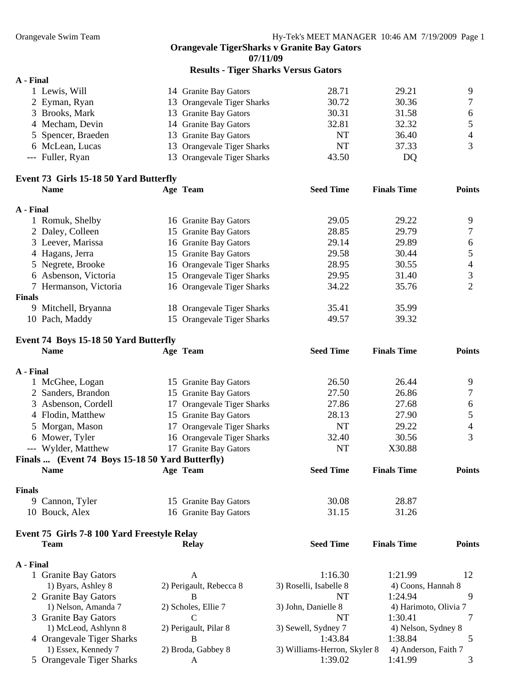**07/11/09** 

**Results - Tiger Sharks Versus Gators** 

|                                        |                            | $2.287$ $0.227$ $0.227$ $0.227$ $0.227$ $0.27$ $0.27$ $0.27$ $0.27$ $0.27$ $0.27$ $0.27$ $0.27$ $0.27$ $0.27$ $0.27$ $0.27$ $0.27$ $0.27$ $0.27$ $0.27$ $0.27$ $0.27$ $0.27$ $0.27$ $0.27$ $0.27$ $0.27$ $0.27$ $0.27$ $0.27$ |                    |               |
|----------------------------------------|----------------------------|-------------------------------------------------------------------------------------------------------------------------------------------------------------------------------------------------------------------------------|--------------------|---------------|
| A - Final                              |                            |                                                                                                                                                                                                                               |                    |               |
| 1 Lewis, Will                          | 14 Granite Bay Gators      | 28.71                                                                                                                                                                                                                         | 29.21              | 9             |
| 2 Eyman, Ryan                          | 13 Orangevale Tiger Sharks | 30.72                                                                                                                                                                                                                         | 30.36              |               |
| 3 Brooks, Mark                         | 13 Granite Bay Gators      | 30.31                                                                                                                                                                                                                         | 31.58              | 6             |
| 4 Mecham, Devin                        | 14 Granite Bay Gators      | 32.81                                                                                                                                                                                                                         | 32.32              |               |
| 5 Spencer, Braeden                     | 13 Granite Bay Gators      | NT                                                                                                                                                                                                                            | 36.40              | 4             |
| 6 McLean, Lucas                        | 13 Orangevale Tiger Sharks | NT                                                                                                                                                                                                                            | 37.33              |               |
| --- Fuller, Ryan                       | 13 Orangevale Tiger Sharks | 43.50                                                                                                                                                                                                                         | DQ                 |               |
| Event 73 Girls 15-18 50 Yard Butterfly |                            |                                                                                                                                                                                                                               |                    |               |
| <b>Name</b>                            | Age Team                   | <b>Seed Time</b>                                                                                                                                                                                                              | <b>Finals Time</b> | <b>Points</b> |
|                                        |                            |                                                                                                                                                                                                                               |                    |               |

| A - Final     |                       |                            |       |       |                |
|---------------|-----------------------|----------------------------|-------|-------|----------------|
|               | Romuk, Shelby         | 16 Granite Bay Gators      | 29.05 | 29.22 | 9              |
|               | 2 Daley, Colleen      | 15 Granite Bay Gators      | 28.85 | 29.79 | 7              |
|               | 3 Leever, Marissa     | 16 Granite Bay Gators      | 29.14 | 29.89 | 6              |
|               | 4 Hagans, Jerra       | 15 Granite Bay Gators      | 29.58 | 30.44 | 5              |
|               | 5 Negrete, Brooke     | 16 Orangevale Tiger Sharks | 28.95 | 30.55 | $\overline{4}$ |
|               | 6 Asbenson, Victoria  | 15 Orangevale Tiger Sharks | 29.95 | 31.40 | 3              |
|               | 7 Hermanson, Victoria | 16 Orangevale Tiger Sharks | 34.22 | 35.76 | 2              |
| <b>Finals</b> |                       |                            |       |       |                |
|               | 9 Mitchell, Bryanna   | 18 Orangevale Tiger Sharks | 35.41 | 35.99 |                |
|               | 10 Pach, Maddy        | 15 Orangevale Tiger Sharks | 49.57 | 39.32 |                |

#### **Event 74 Boys 15-18 50 Yard Butterfly**

|               | <b>Name</b>                                     | Age Team                   | <b>Seed Time</b>             | <b>Finals Time</b>    | <b>Points</b>  |
|---------------|-------------------------------------------------|----------------------------|------------------------------|-----------------------|----------------|
| A - Final     |                                                 |                            |                              |                       |                |
|               | 1 McGhee, Logan                                 | 15 Granite Bay Gators      | 26.50                        | 26.44                 | 9              |
|               | 2 Sanders, Brandon                              | 15 Granite Bay Gators      | 27.50                        | 26.86                 | $\tau$         |
|               | 3 Asbenson, Cordell                             | 17 Orangevale Tiger Sharks | 27.86                        | 27.68                 | 6              |
|               | 4 Flodin, Matthew                               | 15 Granite Bay Gators      | 28.13                        | 27.90                 | 5              |
|               | 5 Morgan, Mason                                 | 17 Orangevale Tiger Sharks | <b>NT</b>                    | 29.22                 | $\overline{4}$ |
|               | 6 Mower, Tyler                                  | 16 Orangevale Tiger Sharks | 32.40                        | 30.56                 | 3              |
|               | --- Wylder, Matthew                             | 17 Granite Bay Gators      | NT                           | X30.88                |                |
|               | Finals  (Event 74 Boys 15-18 50 Yard Butterfly) |                            |                              |                       |                |
|               | <b>Name</b>                                     | Age Team                   | <b>Seed Time</b>             | <b>Finals Time</b>    | <b>Points</b>  |
| <b>Finals</b> |                                                 |                            |                              |                       |                |
|               | 9 Cannon, Tyler                                 | 15 Granite Bay Gators      | 30.08                        | 28.87                 |                |
|               | 10 Bouck, Alex                                  | 16 Granite Bay Gators      | 31.15                        | 31.26                 |                |
|               | Event 75 Girls 7-8 100 Yard Freestyle Relay     |                            |                              |                       |                |
|               | <b>Team</b>                                     | <b>Relay</b>               | <b>Seed Time</b>             | <b>Finals Time</b>    | <b>Points</b>  |
| A - Final     |                                                 |                            |                              |                       |                |
|               | 1 Granite Bay Gators                            | $\mathsf{A}$               | 1:16.30                      | 1:21.99               | 12             |
|               | 1) Byars, Ashley 8                              | 2) Perigault, Rebecca 8    | 3) Roselli, Isabelle 8       | 4) Coons, Hannah 8    |                |
|               | 2 Granite Bay Gators                            | B                          | <b>NT</b>                    | 1:24.94               | 9              |
|               | 1) Nelson, Amanda 7                             | 2) Scholes, Ellie 7        | 3) John, Danielle 8          | 4) Harimoto, Olivia 7 |                |
|               | 3 Granite Bay Gators                            | $\mathcal{C}$              | <b>NT</b>                    | 1:30.41               | 7              |
|               | 1) McLeod, Ashlynn 8                            | 2) Perigault, Pilar 8      | 3) Sewell, Sydney 7          | 4) Nelson, Sydney 8   |                |
|               | 4 Orangevale Tiger Sharks                       | B                          | 1:43.84                      | 1:38.84               | 5              |
|               | 1) Essex, Kennedy 7                             | 2) Broda, Gabbey 8         | 3) Williams-Herron, Skyler 8 | 4) Anderson, Faith 7  |                |
|               | 5 Orangevale Tiger Sharks                       | A                          | 1:39.02                      | 1:41.99               | 3              |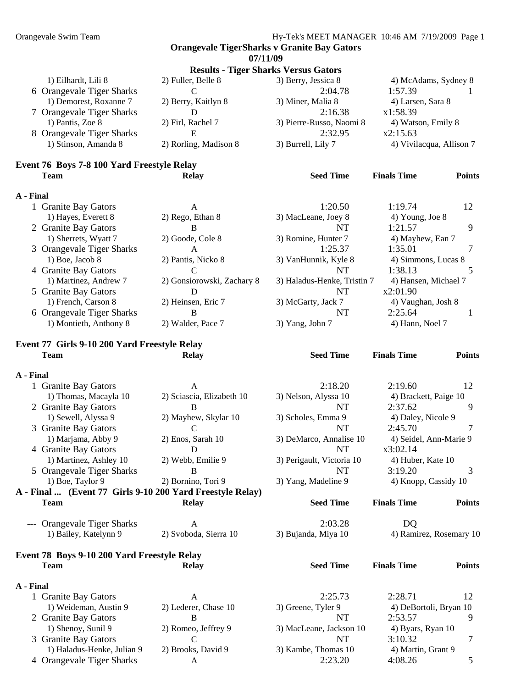**Orangevale TigerSharks v Granite Bay Gators 07/11/09 Results - Tiger Sharks Versus Gators**  1) Eilhardt, Lili 8 2) Fuller, Belle 8 3) Berry, Jessica 8 4) McAdams, Sydney 8 6 Orangevale Tiger Sharks C 2:04.78 1:57.39 1 1) Demorest, Roxanne 7 2) Berry, Kaitlyn 8 3) Miner, Malia 8 4) Larsen, Sara 8 7 Orangevale Tiger Sharks D 2:16.38 x1:58.39 1) Pantis, Zoe 8 2) Firl, Rachel 7 3) Pierre-Russo, Naomi 8 4) Watson, Emily 8 8 Orangevale Tiger Sharks E 2:32.95 x2:15.63 1) Stinson, Amanda 8 2) Rorling, Madison 8 3) Burrell, Lily 7 4) Vivilacqua, Allison 7 **Event 76 Boys 7-8 100 Yard Freestyle Relay Team Relay Seed Time Finals Time Points A - Final**  1 Granite Bay Gators A 1:20.50 1:19.74 12 1) Hayes, Everett 8 2) Rego, Ethan 8 3) MacLeane, Joey 8 4) Young, Joe 8 2 Granite Bay Gators B B NT 1:21.57 9 1) Sherrets, Wyatt 7 2) Goode, Cole 8 3) Romine, Hunter 7 4) Mayhew, Ean 7 3 Orangevale Tiger Sharks A 1:25.37 1:35.01 7 1) Boe, Jacob 8 2) Pantis, Nicko 8 3) VanHunnik, Kyle 8 4) Simmons, Lucas 8 4 Granite Bay Gators C C NT 1:38.13 5 1) Martinez, Andrew 7 2) Gonsiorowski, Zachary 8 3) Haladus-Henke, Tristin 7 4) Hansen, Michael 7 5 Granite Bay Gators **D** NT x2:01.90 1) French, Carson 8 2) Heinsen, Eric 7 3) McGarty, Jack 7 4) Vaughan, Josh 8 6 Orangevale Tiger Sharks B B NT 2:25.64 1 1) Montieth, Anthony 8 2) Walder, Pace 7 3) Yang, John 7 4) Hann, Noel 7 **Event 77 Girls 9-10 200 Yard Freestyle Relay Team Relay Seed Time Finals Time Points A - Final**  1 Granite Bay Gators A 2:18.20 2:19.60 12 1) Thomas, Macayla 10 2) Sciascia, Elizabeth 10 3) Nelson, Alyssa 10 4) Brackett, Paige 10 2 Granite Bay Gators B B NT 2:37.62 9 1) Sewell, Alyssa 9 2) Mayhew, Skylar 10 3) Scholes, Emma 9 4) Daley, Nicole 9 3 Granite Bay Gators C C NT 2:45.70 7 1) Marjama, Abby 9 2) Enos, Sarah 10 3) DeMarco, Annalise 10 4) Seidel, Ann-Marie 9 4 Granite Bay Gators **D** NT x3:02.14 1) Martinez, Ashley 10 2) Webb, Emilie 9 3) Perigault, Victoria 10 4) Huber, Kate 10 5 Orangevale Tiger Sharks B B NT 3:19.20 3 1) Boe, Taylor 9 2) Bornino, Tori 9 3) Yang, Madeline 9 4) Knopp, Cassidy 10 **A - Final ... (Event 77 Girls 9-10 200 Yard Freestyle Relay) Team Relay Seed Time Finals Time Points**  --- Orangevale Tiger Sharks A 2:03.28 DQ 1) Bailey, Katelynn 9 2) Svoboda, Sierra 10 3) Bujanda, Miya 10 4) Ramirez, Rosemary 10 **Event 78 Boys 9-10 200 Yard Freestyle Relay Team Relay Seed Time Finals Time Points A - Final**  1 Granite Bay Gators **A** 2:25.73 2:28.71 12 1) Weideman, Austin 9 2) Lederer, Chase 10 3) Greene, Tyler 9 4) DeBortoli, Bryan 10 2 Granite Bay Gators B B NT 2:53.57 9

 1) Shenoy, Sunil 9 2) Romeo, Jeffrey 9 3) MacLeane, Jackson 10 4) Byars, Ryan 10 3 Granite Bay Gators C C NT 3:10.32 7 1) Haladus-Henke, Julian 9 2) Brooks, David 9 3) Kambe, Thomas 10 4) Martin, Grant 9 4 Orangevale Tiger Sharks  $A$  A 2:23.20  $4:08.26$  5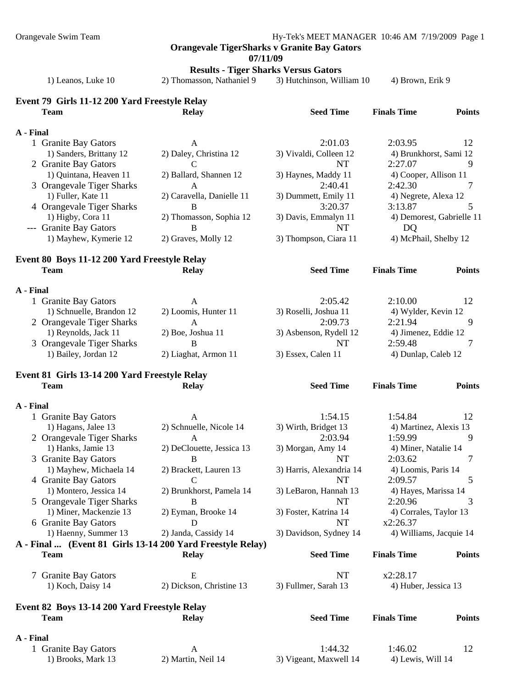Orangevale Swim Team Hy-Tek's MEET MANAGER 10:46 AM 7/19/2009 Page 1

**Orangevale TigerSharks v Granite Bay Gators** 

**07/11/09** 

**Results - Tiger Sharks Versus Gators** 

1) Leanos, Luke 10 2) Thomasson, Nathaniel 9 3) Hutchinson, William 10 4) Brown, Erik 9

## **Event 79 Girls 11-12 200 Yard Freestyle Relay**

|           | <b>Team</b>                                   | <b>Relay</b>                                               | <b>Seed Time</b>         | <b>Finals Time</b>      | <b>Points</b>             |
|-----------|-----------------------------------------------|------------------------------------------------------------|--------------------------|-------------------------|---------------------------|
| A - Final |                                               |                                                            |                          |                         |                           |
|           | 1 Granite Bay Gators                          | A                                                          | 2:01.03                  | 2:03.95                 | 12                        |
|           | 1) Sanders, Brittany 12                       | 2) Daley, Christina 12                                     | 3) Vivaldi, Colleen 12   | 4) Brunkhorst, Sami 12  |                           |
|           | 2 Granite Bay Gators                          | C                                                          | <b>NT</b>                | 2:27.07                 | 9                         |
|           | 1) Quintana, Heaven 11                        | 2) Ballard, Shannen 12                                     | 3) Haynes, Maddy 11      | 4) Cooper, Allison 11   |                           |
|           | 3 Orangevale Tiger Sharks                     | A                                                          | 2:40.41                  | 2:42.30                 | 7                         |
|           | 1) Fuller, Kate 11                            | 2) Caravella, Danielle 11                                  | 3) Dummett, Emily 11     | 4) Negrete, Alexa 12    |                           |
|           | 4 Orangevale Tiger Sharks                     | B                                                          | 3:20.37                  | 3:13.87                 | 5                         |
|           | 1) Higby, Cora 11                             | 2) Thomasson, Sophia 12                                    | 3) Davis, Emmalyn 11     |                         | 4) Demorest, Gabrielle 11 |
|           | --- Granite Bay Gators                        | B                                                          | <b>NT</b>                | DQ                      |                           |
|           | 1) Mayhew, Kymerie 12                         | 2) Graves, Molly 12                                        | 3) Thompson, Ciara 11    | 4) McPhail, Shelby 12   |                           |
|           | Event 80 Boys 11-12 200 Yard Freestyle Relay  |                                                            |                          |                         |                           |
|           | <b>Team</b>                                   | <b>Relay</b>                                               | <b>Seed Time</b>         | <b>Finals Time</b>      | <b>Points</b>             |
| A - Final |                                               |                                                            |                          |                         |                           |
|           | 1 Granite Bay Gators                          | A                                                          | 2:05.42                  | 2:10.00                 | 12                        |
|           | 1) Schnuelle, Brandon 12                      | 2) Loomis, Hunter 11                                       | 3) Roselli, Joshua 11    | 4) Wylder, Kevin 12     |                           |
|           | 2 Orangevale Tiger Sharks                     | A                                                          | 2:09.73                  | 2:21.94                 | 9                         |
|           | 1) Reynolds, Jack 11                          | 2) Boe, Joshua 11                                          | 3) Asbenson, Rydell 12   | 4) Jimenez, Eddie 12    |                           |
|           | 3 Orangevale Tiger Sharks                     | B                                                          | NT                       | 2:59.48                 | 7                         |
|           | 1) Bailey, Jordan 12                          | 2) Liaghat, Armon 11                                       | 3) Essex, Calen 11       | 4) Dunlap, Caleb 12     |                           |
|           | Event 81 Girls 13-14 200 Yard Freestyle Relay |                                                            |                          |                         |                           |
|           | <b>Team</b>                                   | <b>Relay</b>                                               | <b>Seed Time</b>         | <b>Finals Time</b>      | <b>Points</b>             |
|           |                                               |                                                            |                          |                         |                           |
| A - Final |                                               |                                                            |                          |                         |                           |
|           | 1 Granite Bay Gators                          | A                                                          | 1:54.15                  | 1:54.84                 | 12                        |
|           | 1) Hagans, Jalee 13                           | 2) Schnuelle, Nicole 14                                    | 3) Wirth, Bridget 13     | 4) Martinez, Alexis 13  |                           |
|           | 2 Orangevale Tiger Sharks                     | $\mathbf{A}$                                               | 2:03.94                  | 1:59.99                 | 9                         |
|           | 1) Hanks, Jamie 13                            | 2) DeClouette, Jessica 13                                  | 3) Morgan, Amy 14        | 4) Miner, Natalie 14    |                           |
|           | 3 Granite Bay Gators                          | $\bf{B}$                                                   | NT                       | 2:03.62                 | 7                         |
|           | 1) Mayhew, Michaela 14                        | 2) Brackett, Lauren 13                                     | 3) Harris, Alexandria 14 | 4) Loomis, Paris 14     |                           |
|           | 4 Granite Bay Gators                          | $\mathcal{C}$                                              | NT                       | 2:09.57                 | 5                         |
|           | 1) Montero, Jessica 14                        | 2) Brunkhorst, Pamela 14                                   | 3) LeBaron, Hannah 13    | 4) Hayes, Marissa 14    |                           |
|           | 5 Orangevale Tiger Sharks                     | B                                                          | <b>NT</b>                | 2:20.96                 | 3                         |
|           | 1) Miner, Mackenzie 13                        | 2) Eyman, Brooke 14                                        | 3) Foster, Katrina 14    | 4) Corrales, Taylor 13  |                           |
|           | 6 Granite Bay Gators                          | D                                                          | NT                       | x2:26.37                |                           |
|           | 1) Haenny, Summer 13                          | 2) Janda, Cassidy 14                                       | 3) Davidson, Sydney 14   | 4) Williams, Jacquie 14 |                           |
|           |                                               | A - Final  (Event 81 Girls 13-14 200 Yard Freestyle Relay) |                          |                         |                           |
|           | <b>Team</b>                                   | <b>Relay</b>                                               | <b>Seed Time</b>         | <b>Finals Time</b>      | <b>Points</b>             |
|           | 7 Granite Bay Gators                          | E                                                          | NT                       | x2:28.17                |                           |
|           | 1) Koch, Daisy 14                             | 2) Dickson, Christine 13                                   | 3) Fullmer, Sarah 13     | 4) Huber, Jessica 13    |                           |
|           | Event 82 Boys 13-14 200 Yard Freestyle Relay  |                                                            |                          |                         |                           |
|           | <b>Team</b>                                   | <b>Relay</b>                                               | <b>Seed Time</b>         | <b>Finals Time</b>      | <b>Points</b>             |
| A - Final |                                               |                                                            |                          |                         |                           |
|           | 1 Granite Bay Gators                          | A                                                          | 1:44.32                  | 1:46.02                 | 12                        |
|           | 1) Brooks, Mark 13                            | 2) Martin, Neil 14                                         | 3) Vigeant, Maxwell 14   | 4) Lewis, Will 14       |                           |